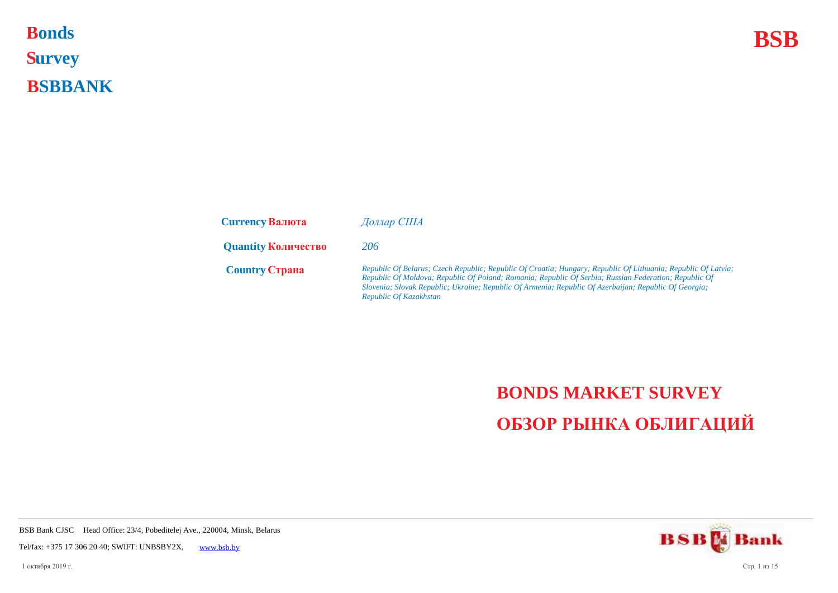**Bonds BSB S urvey B SBBANK Bonds** 

| <b>Currency Валюта</b>     | Доллар США                                                                                                                                                                                                                                                                                                                                                |
|----------------------------|-----------------------------------------------------------------------------------------------------------------------------------------------------------------------------------------------------------------------------------------------------------------------------------------------------------------------------------------------------------|
| <b>Quantity Количество</b> | 206                                                                                                                                                                                                                                                                                                                                                       |
| <b>Country Страна</b>      | Republic Of Belarus; Czech Republic; Republic Of Croatia; Hungary; Republic Of Lithuania; Republic Of Latvia;<br>Republic Of Moldova; Republic Of Poland; Romania; Republic Of Serbia; Russian Federation; Republic Of<br>Slovenia; Slovak Republic; Ukraine; Republic Of Armenia; Republic Of Azerbaijan; Republic Of Georgia;<br>Republic Of Kazakhstan |

## **BONDS MARKET SURVEY ОБЗОР РЫНКА ОБЛИГАЦИЙ**

BSB Bank CJSC Head Office: 23/4, Pobeditelej Ave., 220004, Minsk, Belarus

Tel/fax: +375 17 306 20 40; SWIFT: UNBSBY2X, [www.bsb.by](https://www.bsb.by/)

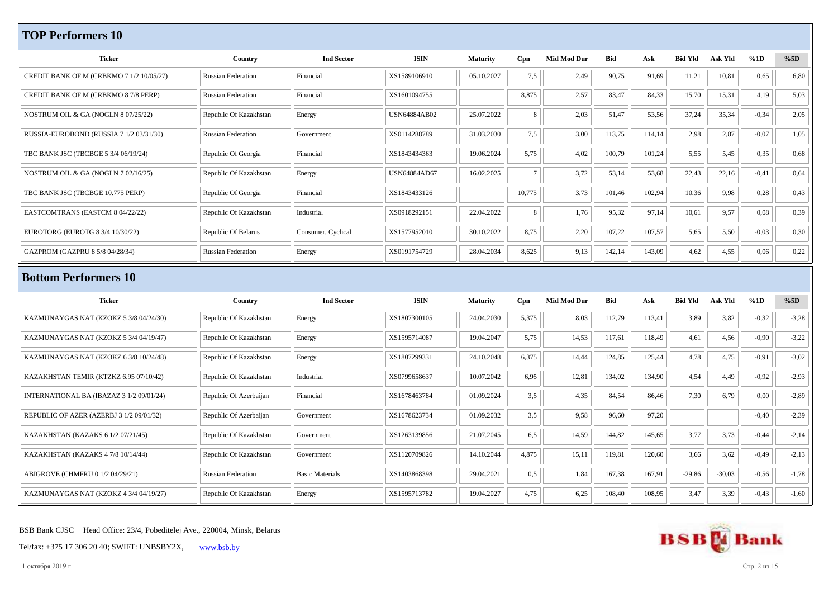## **TOP Performers 10**

| <b>Ticker</b>                            | Country                    | <b>Ind Sector</b>  | <b>ISIN</b>         | <b>Maturity</b> | Cpn          | Mid Mod Dur        | <b>Bid</b> | Ask    | <b>Bid Yld</b> | <b>Ask Yld</b> | %1D     | %5D     |
|------------------------------------------|----------------------------|--------------------|---------------------|-----------------|--------------|--------------------|------------|--------|----------------|----------------|---------|---------|
| CREDIT BANK OF M (CRBKMO 7 1/2 10/05/27) | <b>Russian Federation</b>  | Financial          | XS1589106910        | 05.10.2027      | 7,5          | 2,49               | 90,75      | 91,69  | 11,21          | 10,81          | 0.65    | 6,80    |
| CREDIT BANK OF M (CRBKMO 8 7/8 PERP)     | <b>Russian Federation</b>  | Financial          | XS1601094755        |                 | 8,875        | 2,57               | 83,47      | 84,33  | 15,70          | 15,31          | 4,19    | 5,03    |
| NOSTRUM OIL & GA (NOGLN 8 07/25/22)      | Republic Of Kazakhstan     | Energy             | <b>USN64884AB02</b> | 25.07.2022      | 8            | 2,03               | 51,47      | 53,56  | 37,24          | 35,34          | $-0,34$ | 2,05    |
| RUSSIA-EUROBOND (RUSSIA 7 1/2 03/31/30)  | <b>Russian Federation</b>  | Government         | XS0114288789        | 31.03.2030      | 7,5          | 3,00               | 113,75     | 114,14 | 2,98           | 2,87           | $-0,07$ | 1,05    |
| TBC BANK JSC (TBCBGE 5 3/4 06/19/24)     | Republic Of Georgia        | Financial          | XS1843434363        | 19.06.2024      | 5,75         | 4,02               | 100,79     | 101,24 | 5,55           | 5,45           | 0.35    | 0,68    |
| NOSTRUM OIL & GA (NOGLN 7 02/16/25)      | Republic Of Kazakhstan     | Energy             | <b>USN64884AD67</b> | 16.02.2025      | $\tau$       | 3,72               | 53,14      | 53,68  | 22,43          | 22,16          | $-0,41$ | 0,64    |
| TBC BANK JSC (TBCBGE 10.775 PERP)        | Republic Of Georgia        | Financial          | XS1843433126        |                 | 10,775       | 3,73               | 101,46     | 102,94 | 10,36          | 9,98           | 0,28    | 0,43    |
| EASTCOMTRANS (EASTCM 8 04/22/22)         | Republic Of Kazakhstan     | Industrial         | XS0918292151        | 22.04.2022      | $\mathbf{8}$ | 1,76               | 95,32      | 97,14  | 10,61          | 9,57           | 0,08    | 0,39    |
| EUROTORG (EUROTG 8 3/4 10/30/22)         | <b>Republic Of Belarus</b> | Consumer, Cyclical | XS1577952010        | 30.10.2022      | 8,75         | 2,20               | 107,22     | 107,57 | 5,65           | 5,50           | $-0.03$ | 0,30    |
| GAZPROM (GAZPRU 8 5/8 04/28/34)          | <b>Russian Federation</b>  | Energy             | XS0191754729        | 28.04.2034      | 8,625        | 9,13               | 142,14     | 143,09 | 4,62           | 4,55           | 0,06    | 0,22    |
| <b>Bottom Performers 10</b>              |                            |                    |                     |                 |              |                    |            |        |                |                |         |         |
| <b>Ticker</b>                            | Country                    | <b>Ind Sector</b>  | <b>ISIN</b>         | <b>Maturity</b> | Cpn          | <b>Mid Mod Dur</b> | <b>Bid</b> | Ask    | <b>Bid Yld</b> | Ask Yld        | %1D     | %5D     |
|                                          |                            |                    |                     |                 |              |                    |            |        |                |                |         |         |
| KAZMUNAYGAS NAT (KZOKZ 5 3/8 04/24/30)   | Republic Of Kazakhstan     | Energy             | XS1807300105        | 24.04.2030      | 5,375        | 8,03               | 112,79     | 113,41 | 3,89           | 3,82           | $-0.32$ | $-3,28$ |
| KAZMUNAYGAS NAT (KZOKZ 5 3/4 04/19/47)   | Republic Of Kazakhstan     | Energy             | XS1595714087        | 19.04.2047      | 5,75         | 14,53              | 117,61     | 118,49 | 4,61           | 4,56           | $-0,90$ | $-3,22$ |
| KAZMUNAYGAS NAT (KZOKZ 6 3/8 10/24/48)   | Republic Of Kazakhstan     | Energy             | XS1807299331        | 24.10.2048      | 6,375        | 14,44              | 124,85     | 125,44 | 4,78           | 4,75           | $-0,91$ | $-3,02$ |
| KAZAKHSTAN TEMIR (KTZKZ 6.95 07/10/42)   | Republic Of Kazakhstan     | Industrial         | XS0799658637        | 10.07.2042      | 6,95         | 12,81              | 134,02     | 134,90 | 4,54           | 4,49           | $-0,92$ | $-2,93$ |
| INTERNATIONAL BA (IBAZAZ 3 1/2 09/01/24) | Republic Of Azerbaijan     | Financial          | XS1678463784        | 01.09.2024      | 3,5          | 4,35               | 84,54      | 86,46  | 7,30           | 6,79           | 0,00    | $-2,89$ |
| REPUBLIC OF AZER (AZERBJ 3 1/2 09/01/32) | Republic Of Azerbaijan     | Government         | XS1678623734        | 01.09.2032      | 3,5          | 9,58               | 96,60      | 97,20  |                |                | $-0,40$ | $-2,39$ |
| KAZAKHSTAN (KAZAKS 6 1/2 07/21/45)       | Republic Of Kazakhstan     | Government         | XS1263139856        | 21.07.2045      | 6,5          | 14,59              | 144,82     | 145,65 | 3,77           | 3,73           | $-0,44$ | $-2,14$ |
| KAZAKHSTAN (KAZAKS 47/8 10/14/44)        | Republic Of Kazakhstan     | Government         | XS1120709826        | 14.10.2044      | 4,875        | 15,11              | 119,81     | 120,60 | 3,66           | 3,62           | $-0,49$ | $-2,13$ |

ABIGROVE (CHMFRU 0 1/2 04/29/21) Russian Federation Basic Materials XS1403868398 29.04.2021 0,5 1,84 167,38 167,91 -29,86 -30,03 -0,56 -1,78 KAZMUNAYGAS NAT (KZOKZ 4 3/4 04/19/27) Republic Of Kazakhstan Energy XS1595713782 3,47 4,75 6,25 108,40 108,95 3,47 3,39 -0,43 -1,60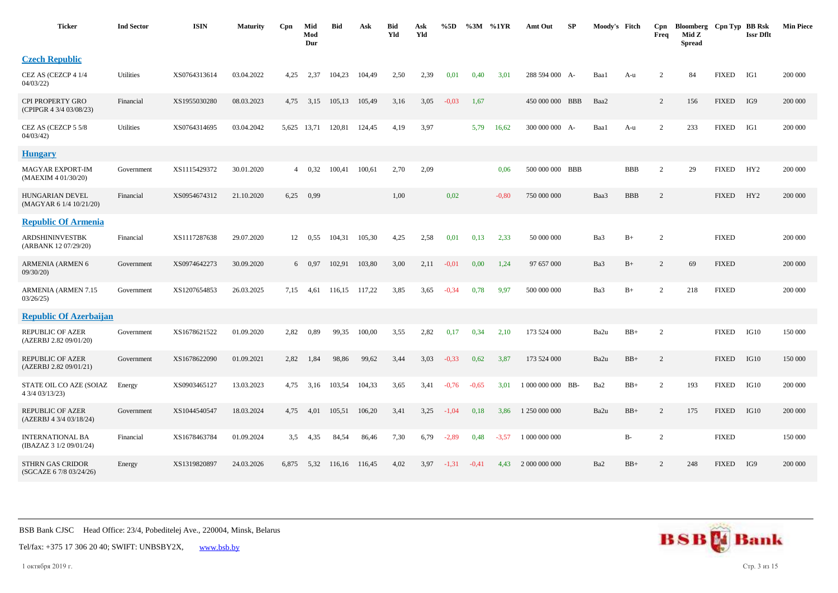| <b>Ticker</b>                                     | <b>Ind Sector</b> | <b>ISIN</b>  | <b>Maturity</b> | Cpn            | Mid<br>Mod<br>Dur | <b>Bid</b> | Ask    | <b>Bid</b><br>Yld | Ask<br>Yld | %5D     | %3M     | %1YR    | Amt Out           | SP | Moody's Fitch |            | Cpn<br>Freq    | Bloomberg Cpn Typ BB Rsk<br>Mid Z<br><b>Spread</b> |              | <b>Issr Dflt</b> | <b>Min Piece</b> |
|---------------------------------------------------|-------------------|--------------|-----------------|----------------|-------------------|------------|--------|-------------------|------------|---------|---------|---------|-------------------|----|---------------|------------|----------------|----------------------------------------------------|--------------|------------------|------------------|
| <b>Czech Republic</b>                             |                   |              |                 |                |                   |            |        |                   |            |         |         |         |                   |    |               |            |                |                                                    |              |                  |                  |
| CEZ AS (CEZCP 4 1/4<br>04/03/22                   | <b>Utilities</b>  | XS0764313614 | 03.04.2022      | 4,25           | 2,37              | 104.23     | 104.49 | 2,50              | 2,39       | 0,01    | 0.40    | 3,01    | 288 594 000 A-    |    | Baa1          | A-u        | 2              | 84                                                 | <b>FIXED</b> | IG1              | 200 000          |
| CPI PROPERTY GRO<br>(CPIPGR 4 3/4 03/08/23)       | Financial         | XS1955030280 | 08.03.2023      | 4,75           | 3,15              | 105,13     | 105,49 | 3,16              | 3,05       | $-0.03$ | 1,67    |         | 450 000 000 BBB   |    | Baa2          |            | 2              | 156                                                | <b>FIXED</b> | IG9              | 200 000          |
| CEZ AS (CEZCP 5 5/8<br>04/03/42                   | <b>Utilities</b>  | XS0764314695 | 03.04.2042      | 5,625 13,71    |                   | 120,81     | 124,45 | 4,19              | 3,97       |         | 5,79    | 16,62   | 300 000 000 A-    |    | Baa1          | A-u        | 2              | 233                                                | <b>FIXED</b> | IG1              | 200 000          |
| <b>Hungary</b>                                    |                   |              |                 |                |                   |            |        |                   |            |         |         |         |                   |    |               |            |                |                                                    |              |                  |                  |
| <b>MAGYAR EXPORT-IM</b><br>(MAEXIM 4 01/30/20)    | Government        | XS1115429372 | 30.01.2020      | $\overline{4}$ | 0.32              | 100,41     | 100,61 | 2,70              | 2,09       |         |         | 0,06    | 500 000 000 BBB   |    |               | <b>BBB</b> | $\overline{2}$ | 29                                                 | <b>FIXED</b> | HY <sub>2</sub>  | 200 000          |
| <b>HUNGARIAN DEVEL</b><br>(MAGYAR 6 1/4 10/21/20) | Financial         | XS0954674312 | 21.10.2020      | 6,25           | 0,99              |            |        | 1,00              |            | 0,02    |         | $-0,80$ | 750 000 000       |    | Baa3          | <b>BBB</b> | 2              |                                                    | <b>FIXED</b> | HY <sub>2</sub>  | 200 000          |
| <b>Republic Of Armenia</b>                        |                   |              |                 |                |                   |            |        |                   |            |         |         |         |                   |    |               |            |                |                                                    |              |                  |                  |
| ARDSHININVESTBK<br>(ARBANK 12 07/29/20)           | Financial         | XS1117287638 | 29.07.2020      |                | 12 0.55           | 104,31     | 105,30 | 4,25              | 2,58       | 0,01    | 0,13    | 2,33    | 50 000 000        |    | Ba3           | $B+$       | $\overline{2}$ |                                                    | <b>FIXED</b> |                  | 200 000          |
| ARMENIA (ARMEN 6<br>09/30/20                      | Government        | XS0974642273 | 30.09.2020      |                | 6 0.97            | 102,91     | 103,80 | 3,00              | 2,11       | $-0.01$ | 0.00    | 1,24    | 97 657 000        |    | Ba3           | $B+$       | 2              | 69                                                 | <b>FIXED</b> |                  | 200 000          |
| <b>ARMENIA (ARMEN 7.15</b><br>03/26/25            | Government        | XS1207654853 | 26.03.2025      | 7,15           | 4,61              | 116,15     | 117,22 | 3,85              | 3,65       | $-0,34$ | 0,78    | 9,97    | 500 000 000       |    | Ba3           | $B+$       | $\overline{2}$ | 218                                                | <b>FIXED</b> |                  | 200 000          |
| <b>Republic Of Azerbaijan</b>                     |                   |              |                 |                |                   |            |        |                   |            |         |         |         |                   |    |               |            |                |                                                    |              |                  |                  |
| <b>REPUBLIC OF AZER</b><br>(AZERBJ 2.82 09/01/20) | Government        | XS1678621522 | 01.09.2020      | 2,82           | 0,89              | 99,35      | 100,00 | 3,55              | 2,82       | 0,17    | 0,34    | 2,10    | 173 524 000       |    | Ba2u          | $BB+$      | 2              |                                                    | <b>FIXED</b> | IG10             | 150 000          |
| REPUBLIC OF AZER<br>(AZERBJ 2.82 09/01/21)        | Government        | XS1678622090 | 01.09.2021      | 2,82           | 1,84              | 98,86      | 99,62  | 3,44              | 3,03       | $-0,33$ | 0,62    | 3,87    | 173 524 000       |    | Ba2u          | $BB+$      | 2              |                                                    | <b>FIXED</b> | IG10             | 150 000          |
| STATE OIL CO AZE (SOIAZ<br>4 3/4 03/13/23)        | Energy            | XS0903465127 | 13.03.2023      | 4,75           | 3,16              | 103,54     | 104,33 | 3,65              | 3,41       | $-0,76$ | $-0,65$ | 3,01    | 1 000 000 000 BB- |    | Ba2           | $BB+$      | $\overline{2}$ | 193                                                | <b>FIXED</b> | IG10             | 200 000          |
| REPUBLIC OF AZER<br>(AZERBJ 4 3/4 03/18/24)       | Government        | XS1044540547 | 18.03.2024      | 4,75           | 4,01              | 105,51     | 106,20 | 3,41              | 3,25       | $-1,04$ | 0,18    | 3.86    | 1 250 000 000     |    | Ba2u          | $BB+$      | 2              | 175                                                | <b>FIXED</b> | IG10             | 200 000          |
| INTERNATIONAL BA<br>(IBAZAZ 3 1/2 09/01/24)       | Financial         | XS1678463784 | 01.09.2024      | 3,5            | 4,35              | 84,54      | 86,46  | 7,30              | 6,79       | $-2,89$ | 0,48    | $-3,57$ | 1 000 000 000     |    |               | B-         | $\overline{2}$ |                                                    | <b>FIXED</b> |                  | 150 000          |
| STHRN GAS CRIDOR<br>(SGCAZE 6 7/8 03/24/26)       | Energy            | XS1319820897 | 24.03.2026      | 6,875          | 5,32              | 116,16     | 116,45 | 4,02              | 3,97       | $-1,31$ | $-0,41$ | 4,43    | 2 000 000 000     |    | Ba2           | $BB+$      | $\overline{2}$ | 248                                                | <b>FIXED</b> | IG9              | 200 000          |



Tel/fax: +375 17 306 20 40; SWIFT: UNBSBY2X, [www.bsb.by](https://www.bsb.by/)

1 октября 2019 г. Стр. 3 из 15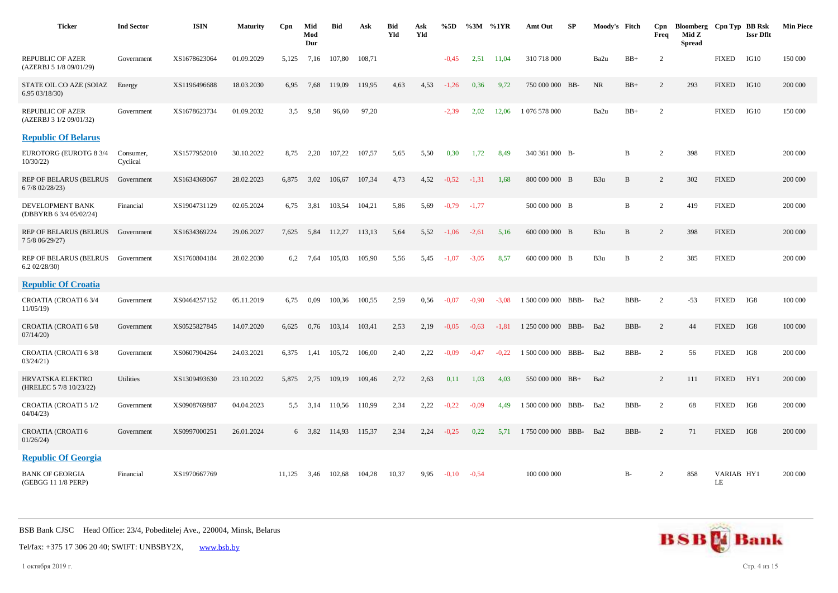| <b>Ticker</b>                                      | <b>Ind Sector</b>     | <b>ISIN</b>  | <b>Maturity</b> | Cpn    | Mid<br>Mod<br>Dur | <b>Bid</b>  | Ask    | <b>Bid</b><br>Yld | Ask<br>Yld | %5D     | %3M     | %1YR    | Amt Out            | SP   | Moody's Fitch   |              | Cpn<br>Freq    | Bloomberg Cpn Typ BB Rsk<br>Mid Z<br><b>Spread</b> |                  | <b>Issr Dflt</b> | <b>Min Piece</b> |
|----------------------------------------------------|-----------------------|--------------|-----------------|--------|-------------------|-------------|--------|-------------------|------------|---------|---------|---------|--------------------|------|-----------------|--------------|----------------|----------------------------------------------------|------------------|------------------|------------------|
| <b>REPUBLIC OF AZER</b><br>(AZERBJ 5 1/8 09/01/29) | Government            | XS1678623064 | 01.09.2029      | 5,125  | 7,16              | 107,80      | 108,71 |                   |            | $-0,45$ | 2,51    | 11,04   | 310 718 000        |      | Ba2u            | $BB+$        | 2              |                                                    | <b>FIXED</b>     | IG10             | 150 000          |
| STATE OIL CO AZE (SOIAZ<br>6.9503/18/30            | Energy                | XS1196496688 | 18.03.2030      | 6.95   | 7,68              | 119,09      | 119,95 | 4,63              | 4,53       | $-1,26$ | 0,36    | 9,72    | 750 000 000 BB-    |      | <b>NR</b>       | $BB+$        | 2              | 293                                                | <b>FIXED</b>     | IG10             | 200 000          |
| REPUBLIC OF AZER<br>(AZERBJ 3 1/2 09/01/32)        | Government            | XS1678623734 | 01.09.2032      | 3,5    | 9,58              | 96,60       | 97,20  |                   |            | $-2,39$ | 2,02    | 12,06   | 1 076 578 000      |      | Ba2u            | $BB+$        | $\overline{2}$ |                                                    | <b>FIXED</b>     | IG10             | 150 000          |
| <b>Republic Of Belarus</b>                         |                       |              |                 |        |                   |             |        |                   |            |         |         |         |                    |      |                 |              |                |                                                    |                  |                  |                  |
| EUROTORG (EUROTG 8 3/4<br>10/30/22)                | Consumer,<br>Cyclical | XS1577952010 | 30.10.2022      | 8,75   | 2,20              | 107,22      | 107,57 | 5,65              | 5,50       | 0,30    | 1,72    | 8,49    | 340 361 000 B-     |      |                 | B            | 2              | 398                                                | <b>FIXED</b>     |                  | 200 000          |
| <b>REP OF BELARUS (BELRUS</b><br>6 7/8 02/28/23)   | Government            | XS1634369067 | 28.02.2023      | 6,875  | 3,02              | 106,67      | 107,34 | 4,73              | 4,52       | $-0,52$ | $-1,31$ | 1,68    | 800 000 000 B      |      | B3u             | $\, {\bf B}$ | $\overline{2}$ | 302                                                | <b>FIXED</b>     |                  | 200 000          |
| DEVELOPMENT BANK<br>(DBBYRB 6 3/4 05/02/24)        | Financial             | XS1904731129 | 02.05.2024      | 6,75   | 3,81              | 103,54      | 104,21 | 5,86              | 5,69       | $-0,79$ | $-1,77$ |         | 500 000 000 B      |      |                 | $\, {\bf B}$ | $\overline{2}$ | 419                                                | <b>FIXED</b>     |                  | 200 000          |
| REP OF BELARUS (BELRUS<br>7 5/8 06/29/27)          | Government            | XS1634369224 | 29.06.2027      | 7.625  | 5.84              | 112.27      | 113.13 | 5.64              | 5,52       | $-1.06$ | $-2,61$ | 5.16    | 600 000 000 B      |      | B3u             | $\mathbf{B}$ | 2              | 398                                                | <b>FIXED</b>     |                  | 200 000          |
| <b>REP OF BELARUS (BELRUS</b><br>6.202/28/30       | Government            | XS1760804184 | 28.02.2030      | 6,2    | 7.64              | 105,03      | 105,90 | 5,56              | 5,45       | $-1,07$ | $-3,05$ | 8,57    | 600 000 000 B      |      | B <sub>3u</sub> | B            | 2              | 385                                                | <b>FIXED</b>     |                  | 200 000          |
| <b>Republic Of Croatia</b>                         |                       |              |                 |        |                   |             |        |                   |            |         |         |         |                    |      |                 |              |                |                                                    |                  |                  |                  |
| CROATIA (CROATI 6 3/4<br>11/05/19                  | Government            | XS0464257152 | 05.11.2019      | 6,75   | 0,09              | 100,36      | 100,55 | 2,59              | 0,56       | $-0.07$ | $-0.90$ | $-3,08$ | 1 500 000 000      | BBB- | Ba2             | BBB-         | 2              | $-53$                                              | <b>FIXED</b>     | IG8              | 100 000          |
| CROATIA (CROATI 6 5/8<br>07/14/20                  | Government            | XS0525827845 | 14.07.2020      | 6,625  | 0,76              | 103,14      | 103,41 | 2,53              | 2,19       | $-0.05$ | $-0.63$ | $-1,81$ | 1 250 000 000      | BBB- | Ba2             | BBB-         | 2              | 44                                                 | <b>FIXED</b>     | IG8              | 100 000          |
| CROATIA (CROATI 63/8<br>03/24/21                   | Government            | XS0607904264 | 24.03.2021      | 6,375  | 1,41              | 105,72      | 106,00 | 2,40              | 2,22       | $-0.09$ | $-0.47$ | $-0.22$ | 1 500 000 000 BBB- |      | Ba2             | BBB-         | 2              | 56                                                 | <b>FIXED</b>     | IG8              | 200 000          |
| <b>HRVATSKA ELEKTRO</b><br>(HRELEC 5 7/8 10/23/22) | Utilities             | XS1309493630 | 23.10.2022      | 5,875  | 2,75              | 109,19      | 109,46 | 2,72              | 2,63       | 0,11    | 1,03    | 4,03    | 550 000 000 BB+    |      | Ba2             |              | 2              | 111                                                | <b>FIXED</b>     | HY1              | 200 000          |
| CROATIA (CROATI 5 1/2<br>04/04/23                  | Government            | XS0908769887 | 04.04.2023      | 5.5    |                   | 3,14 110,56 | 110,99 | 2,34              | 2,22       | $-0,22$ | $-0.09$ | 4,49    | 1 500 000 000      | BBB- | Ba2             | BBB-         | 2              | 68                                                 | <b>FIXED</b>     | IG8              | 200 000          |
| CROATIA (CROATI 6<br>01/26/24)                     | Government            | XS0997000251 | 26.01.2024      |        | $6\quad 3.82$     | 114,93      | 115,37 | 2,34              | 2,24       | $-0,25$ | 0,22    | 5.71    | 1750 000 000       | BBB- | Ba2             | BBB-         | $\overline{c}$ | 71                                                 | <b>FIXED</b>     | IG8              | 200 000          |
| <b>Republic Of Georgia</b>                         |                       |              |                 |        |                   |             |        |                   |            |         |         |         |                    |      |                 |              |                |                                                    |                  |                  |                  |
| <b>BANK OF GEORGIA</b><br>(GEBGG 11 1/8 PERP)      | Financial             | XS1970667769 |                 | 11.125 |                   | 3,46 102,68 | 104,28 | 10,37             | 9,95       | $-0.10$ | $-0.54$ |         | 100 000 000        |      |                 | $B-$         | 2              | 858                                                | VARIAB HY1<br>LE |                  | 200 000          |



Tel/fax: +375 17 306 20 40; SWIFT: UNBSBY2X, [www.bsb.by](https://www.bsb.by/)

1 октября 2019 г. Стр. 4 из 15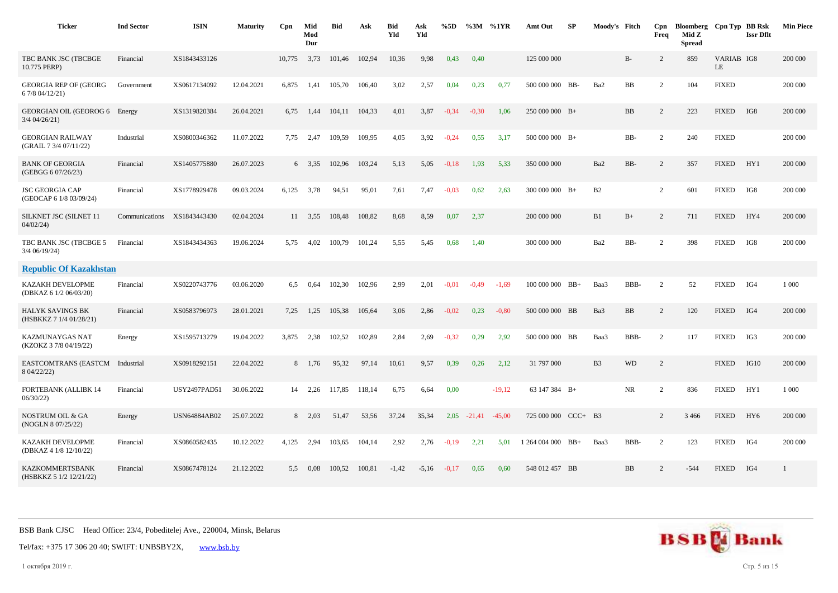| <b>Ticker</b>                                      | <b>Ind Sector</b> | <b>ISIN</b>         | <b>Maturity</b> | $C$ pn | Mid<br>Mod<br>Dur | <b>Bid</b> | Ask    | <b>Bid</b><br>Yld | Ask<br>Yld | %5D     | $\%3M$   | %1YR     | Amt Out            | SP        | Moody's Fitch  |             | Cpn<br>Freq    | Bloomberg Cpn Typ BB Rsk<br>Mid Z<br><b>Spread</b> |                  | <b>Issr Dflt</b> | <b>Min Piece</b> |
|----------------------------------------------------|-------------------|---------------------|-----------------|--------|-------------------|------------|--------|-------------------|------------|---------|----------|----------|--------------------|-----------|----------------|-------------|----------------|----------------------------------------------------|------------------|------------------|------------------|
| TBC BANK JSC (TBCBGE<br>10.775 PERP)               | Financial         | XS1843433126        |                 | 10,775 | 3,73              | 101,46     | 102,94 | 10,36             | 9,98       | 0,43    | 0,40     |          | 125 000 000        |           |                | $B-$        | $\overline{c}$ | 859                                                | VARIAB IG8<br>LE |                  | 200 000          |
| <b>GEORGIA REP OF (GEORG</b><br>6 7/8 04/12/21)    | Government        | XS0617134092        | 12.04.2021      | 6,875  | 1,41              | 105,70     | 106,40 | 3,02              | 2,57       | 0,04    | 0,23     | 0,77     | 500 000 000 BB-    |           | Ba2            | BB          | 2              | 104                                                | <b>FIXED</b>     |                  | 200 000          |
| <b>GEORGIAN OIL (GEOROG 6</b><br>$3/4$ 04/26/21)   | Energy            | XS1319820384        | 26.04.2021      | 6,75   | 1,44              | 104.11     | 104,33 | 4,01              | 3,87       | $-0,34$ | $-0,30$  | 1.06     | $250000000$ B+     |           |                | BB          | $\overline{c}$ | 223                                                | <b>FIXED</b>     | IG8              | 200 000          |
| <b>GEORGIAN RAILWAY</b><br>(GRAIL 7 3/4 07/11/22)  | Industrial        | XS0800346362        | 11.07.2022      | 7,75   | 2,47              | 109.59     | 109,95 | 4,05              | 3,92       | $-0,24$ | 0,55     | 3.17     | $500000000$ B+     |           |                | BB-         | $\overline{2}$ | 240                                                | <b>FIXED</b>     |                  | 200 000          |
| <b>BANK OF GEORGIA</b><br>(GEBGG 6 07/26/23)       | Financial         | XS1405775880        | 26.07.2023      |        | $6\quad 3.35$     | 102,96     | 103,24 | 5,13              | 5,05       | $-0.18$ | 1,93     | 5,33     | 350 000 000        |           | Ba2            | BB-         | 2              | 357                                                | <b>FIXED</b>     | HY1              | 200 000          |
| <b>JSC GEORGIA CAP</b><br>(GEOCAP 6 1/8 03/09/24)  | Financial         | XS1778929478        | 09.03.2024      | 6,125  | 3,78              | 94,51      | 95,01  | 7,61              | 7,47       | $-0.03$ | 0,62     | 2,63     | $300\ 000\ 000$ B+ |           | B2             |             | $\overline{2}$ | 601                                                | <b>FIXED</b>     | IG8              | 200 000          |
| SILKNET JSC (SILNET 11<br>04/02/24                 | Communications    | XS1843443430        | 02.04.2024      |        | 11 3,55           | 108,48     | 108,82 | 8,68              | 8,59       | 0,07    | 2,37     |          | 200 000 000        |           | B1             | $B+$        | $\overline{c}$ | 711                                                | <b>FIXED</b>     | HY4              | 200 000          |
| TBC BANK JSC (TBCBGE 5<br>$3/4$ 06/19/24)          | Financial         | XS1843434363        | 19.06.2024      | 5,75   | 4,02              | 100,79     | 101,24 | 5,55              | 5,45       | 0,68    | 1,40     |          | 300 000 000        |           | Ba2            | BB-         | 2              | 398                                                | <b>FIXED</b>     | IG8              | 200 000          |
| <b>Republic Of Kazakhstan</b>                      |                   |                     |                 |        |                   |            |        |                   |            |         |          |          |                    |           |                |             |                |                                                    |                  |                  |                  |
| KAZAKH DEVELOPME<br>(DBKAZ 6 1/2 06/03/20)         | Financial         | XS0220743776        | 03.06.2020      | 6.5    | 0.64              | 102.30     | 102,96 | 2,99              | 2,01       | $-0.01$ | $-0.49$  | $-1.69$  | 100 000 000 BB+    |           | Baa3           | BBB-        | 2              | 52                                                 | <b>FIXED</b>     | IG4              | 1 0 0 0          |
| <b>HALYK SAVINGS BK</b><br>(HSBKKZ 7 1/4 01/28/21) | Financial         | XS0583796973        | 28.01.2021      | 7,25   | 1,25              | 105,38     | 105,64 | 3,06              | 2,86       | $-0.02$ | 0,23     | $-0.80$  | 500 000 000 BB     |           | Ba3            | $_{\rm BB}$ | $\overline{2}$ | 120                                                | <b>FIXED</b>     | IG4              | 200 000          |
| KAZMUNAYGAS NAT<br>(KZOKZ 3 7/8 04/19/22)          | Energy            | XS1595713279        | 19.04.2022      | 3,875  | 2,38              | 102,52     | 102,89 | 2,84              | 2,69       | $-0.32$ | 0,29     | 2,92     | 500 000 000 BB     |           | Baa3           | BBB-        | $\overline{2}$ | 117                                                | <b>FIXED</b>     | IG3              | 200 000          |
| <b>EASTCOMTRANS (EASTCM</b><br>8 04/22/22)         | Industrial        | XS0918292151        | 22.04.2022      | 8      | 1,76              | 95,32      | 97,14  | 10,61             | 9,57       | 0,39    | 0,26     | 2,12     | 31 797 000         |           | B <sub>3</sub> | <b>WD</b>   | $\overline{2}$ |                                                    | <b>FIXED</b>     | IG10             | 200 000          |
| <b>FORTEBANK (ALLIBK 14</b><br>06/30/22            | Financial         | <b>USY2497PAD51</b> | 30.06.2022      | 14     | 2,26              | 117,85     | 118,14 | 6,75              | 6,64       | 0,00    |          | $-19,12$ | 63 147 384 B+      |           |                | <b>NR</b>   | $\overline{c}$ | 836                                                | <b>FIXED</b>     | HY1              | 1 0 0 0          |
| NOSTRUM OIL & GA<br>(NOGLN 8 07/25/22)             | Energy            | <b>USN64884AB02</b> | 25.07.2022      | 8      | 2,03              | 51,47      | 53,56  | 37,24             | 35,34      | 2,05    | $-21,41$ | $-45,00$ | 725 000 000        | $CCC+ B3$ |                |             | 2              | 3 4 6 6                                            | <b>FIXED</b>     | HY <sub>6</sub>  | 200 000          |
| KAZAKH DEVELOPME<br>(DBKAZ 4 1/8 12/10/22)         | Financial         | XS0860582435        | 10.12.2022      | 4,125  | 2,94              | 103,65     | 104,14 | 2,92              | 2,76       | $-0.19$ | 2,21     | 5.01     | $1264004000$ BB+   |           | Baa3           | BBB-        | 2              | 123                                                | <b>FIXED</b>     | IG4              | 200 000          |
| <b>KAZKOMMERTSBANK</b><br>(HSBKKZ 5 1/2 12/21/22)  | Financial         | XS0867478124        | 21.12.2022      | 5.5    | 0,08              | 100,52     | 100,81 | $-1,42$           | $-5,16$    | $-0,17$ | 0.65     | 0,60     | 548 012 457 BB     |           |                | BB          | $\overline{2}$ | $-544$                                             | <b>FIXED</b>     | IG4              | $\mathbf{1}$     |



Tel/fax: +375 17 306 20 40; SWIFT: UNBSBY2X, [www.bsb.by](https://www.bsb.by/)

1 октября 2019 г. Стр. 5 из 15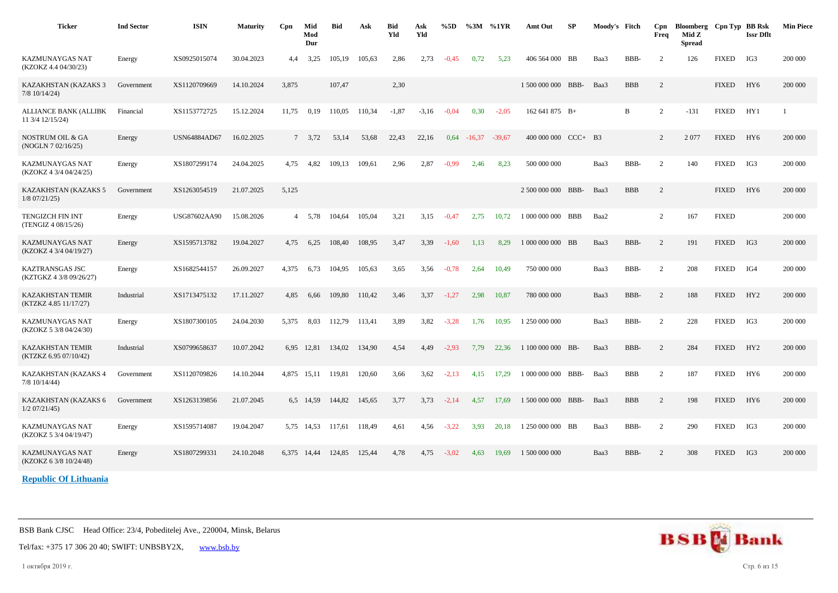| <b>Ticker</b>                                     | <b>Ind Sector</b> | <b>ISIN</b>         | <b>Maturity</b> | Cpn   | Mid<br>Mod<br>Dur | Bid    | Ask    | <b>Bid</b><br>Yld | Ask<br>Yld | %5D     | $\%3M$ %1YR     |         | Amt Out             | SP   | Moody's Fitch |            | Cpn<br>Freq    | Bloomberg Cpn Typ BB Rsk<br>Mid Z<br><b>Spread</b> |              | <b>Issr Dflt</b> | <b>Min Piece</b> |
|---------------------------------------------------|-------------------|---------------------|-----------------|-------|-------------------|--------|--------|-------------------|------------|---------|-----------------|---------|---------------------|------|---------------|------------|----------------|----------------------------------------------------|--------------|------------------|------------------|
| KAZMUNAYGAS NAT<br>(KZOKZ 4.4 04/30/23)           | Energy            | XS0925015074        | 30.04.2023      | 4.4   | 3,25              | 105,19 | 105,63 | 2,86              | 2,73       | $-0.45$ | 0,72            | 5.23    | 406 564 000 BB      |      | Baa3          | BBB-       | 2              | 126                                                | <b>FIXED</b> | IG3              | 200 000          |
| KAZAKHSTAN (KAZAKS 3<br>$7/8$ 10/14/24)           | Government        | XS1120709669        | 14.10.2024      | 3,875 |                   | 107,47 |        | 2,30              |            |         |                 |         | 1 500 000 000 BBB-  |      | Baa3          | <b>BBB</b> | $\overline{2}$ |                                                    | <b>FIXED</b> | HY <sub>6</sub>  | 200 000          |
| <b>ALLIANCE BANK (ALLIBK</b><br>11 3/4 12/15/24)  | Financial         | XS1153772725        | 15.12.2024      | 11,75 | 0,19              | 110,05 | 110,34 | $-1,87$           | $-3,16$    | $-0.04$ | 0,30            | $-2,05$ | 162 641 875 B+      |      |               | B          | 2              | $-131$                                             | <b>FIXED</b> | HY1              |                  |
| <b>NOSTRUM OIL &amp; GA</b><br>(NOGLN 7 02/16/25) | Energy            | <b>USN64884AD67</b> | 16.02.2025      |       | 7, 3, 72          | 53,14  | 53,68  | 22,43             | 22,16      | 0,64    | $-16,37 -39,67$ |         | 400 000 000 CCC+ B3 |      |               |            | 2              | 2077                                               | <b>FIXED</b> | HY <sub>6</sub>  | 200 000          |
| KAZMUNAYGAS NAT<br>(KZOKZ 4 3/4 04/24/25)         | Energy            | XS1807299174        | 24.04.2025      | 4,75  | 4,82              | 109,13 | 109,61 | 2,96              | 2,87       | $-0.99$ | 2,46            | 8,23    | 500 000 000         |      | Baa3          | BBB-       | 2              | 140                                                | <b>FIXED</b> | IG3              | 200 000          |
| KAZAKHSTAN (KAZAKS 5<br>$1/8$ 07/21/25)           | Government        | XS1263054519        | 21.07.2025      | 5,125 |                   |        |        |                   |            |         |                 |         | 2 500 000 000       | BBB- | Baa3          | <b>BBB</b> | 2              |                                                    | <b>FIXED</b> | HY <sub>6</sub>  | 200 000          |
| <b>TENGIZCH FIN INT</b><br>(TENGIZ 4 08/15/26)    | Energy            | USG87602AA90        | 15.08.2026      | 4     | 5,78              | 104,64 | 105,04 | 3,21              | 3,15       | $-0,47$ | 2,75            | 10,72   | 1 000 000 000       | BBB  | Baa2          |            | $\overline{2}$ | 167                                                | <b>FIXED</b> |                  | 200 000          |
| KAZMUNAYGAS NAT<br>(KZOKZ 4 3/4 04/19/27)         | Energy            | XS1595713782        | 19.04.2027      | 4,75  | 6,25              | 108,40 | 108,95 | 3,47              | 3,39       | $-1,60$ | 1,13            | 8,29    | 1 000 000 000 BB    |      | Baa3          | BBB-       | 2              | 191                                                | <b>FIXED</b> | IG3              | 200 000          |
| KAZTRANSGAS JSC<br>(KZTGKZ 4 3/8 09/26/27)        | Energy            | XS1682544157        | 26.09.2027      | 4.375 | 6,73              | 104,95 | 105,63 | 3,65              | 3,56       | $-0,78$ | 2,64            | 10,49   | 750 000 000         |      | Baa3          | BBB-       | 2              | 208                                                | <b>FIXED</b> | IG4              | 200 000          |
| <b>KAZAKHSTAN TEMIR</b><br>(KTZKZ 4.85 11/17/27)  | Industrial        | XS1713475132        | 17.11.2027      | 4.85  | 6,66              | 109,80 | 110.42 | 3,46              | 3,37       | $-1,27$ | 2,98            | 10.87   | 780 000 000         |      | Baa3          | BBB-       | 2              | 188                                                | <b>FIXED</b> | HY2              | 200 000          |
| KAZMUNAYGAS NAT<br>(KZOKZ 5 3/8 04/24/30)         | Energy            | XS1807300105        | 24.04.2030      | 5,375 | 8,03              | 112,79 | 113,41 | 3,89              | 3,82       | $-3,28$ | 1,76            | 10,95   | 1 250 000 000       |      | Baa3          | BBB-       | $\overline{c}$ | 228                                                | <b>FIXED</b> | IG3              | 200 000          |
| <b>KAZAKHSTAN TEMIR</b><br>(KTZKZ 6.95 07/10/42)  | Industrial        | XS0799658637        | 10.07.2042      | 6,95  | 12,81             | 134,02 | 134,90 | 4,54              | 4,49       | $-2,93$ | 7,79            | 22,36   | 1 100 000 000 BB-   |      | Baa3          | BBB-       | 2              | 284                                                | <b>FIXED</b> | HY <sub>2</sub>  | 200 000          |
| KAZAKHSTAN (KAZAKS 4<br>$7/8$ 10/14/44)           | Government        | XS1120709826        | 14.10.2044      | 4,875 | 15,11             | 119,81 | 120,60 | 3,66              | 3,62       | $-2,13$ | 4,15            | 17,29   | 1 000 000 000       | BBB- | Baa3          | <b>BBB</b> | $\overline{2}$ | 187                                                | <b>FIXED</b> | HY <sub>6</sub>  | 200 000          |
| KAZAKHSTAN (KAZAKS 6<br>$1/2$ 07/21/45)           | Government        | XS1263139856        | 21.07.2045      |       | 6,5 14,59         | 144,82 | 145,65 | 3,77              | 3,73       | $-2,14$ | 4,57            | 17,69   | 1 500 000 000 BBB-  |      | Baa3          | <b>BBB</b> | 2              | 198                                                | <b>FIXED</b> | HY <sub>6</sub>  | 200 000          |
| KAZMUNAYGAS NAT<br>(KZOKZ 5 3/4 04/19/47)         | Energy            | XS1595714087        | 19.04.2047      |       | 5,75 14,53        | 117,61 | 118,49 | 4,61              | 4,56       | $-3,22$ | 3,93            | 20.18   | 1 250 000 000 BB    |      | Baa3          | BBB-       | 2              | 290                                                | <b>FIXED</b> | IG3              | 200 000          |
| KAZMUNAYGAS NAT<br>(KZOKZ 6 3/8 10/24/48)         | Energy            | XS1807299331        | 24.10.2048      |       | 6,375 14,44       | 124,85 | 125,44 | 4,78              | 4,75       | $-3,02$ | 4,63            | 19,69   | 1 500 000 000       |      | Baa3          | BBB-       | 2              | 308                                                | <b>FIXED</b> | IG3              | 200 000          |
|                                                   |                   |                     |                 |       |                   |        |        |                   |            |         |                 |         |                     |      |               |            |                |                                                    |              |                  |                  |

**Republic Of Lithuania**

BSB Bank CJSC Head Office: 23/4, Pobeditelej Ave., 220004, Minsk, Belarus

Tel/fax: +375 17 306 20 40; SWIFT: UNBSBY2X, [www.bsb.by](https://www.bsb.by/)

1 октября 2019 г. Стр. 6 из 15

![](_page_5_Picture_5.jpeg)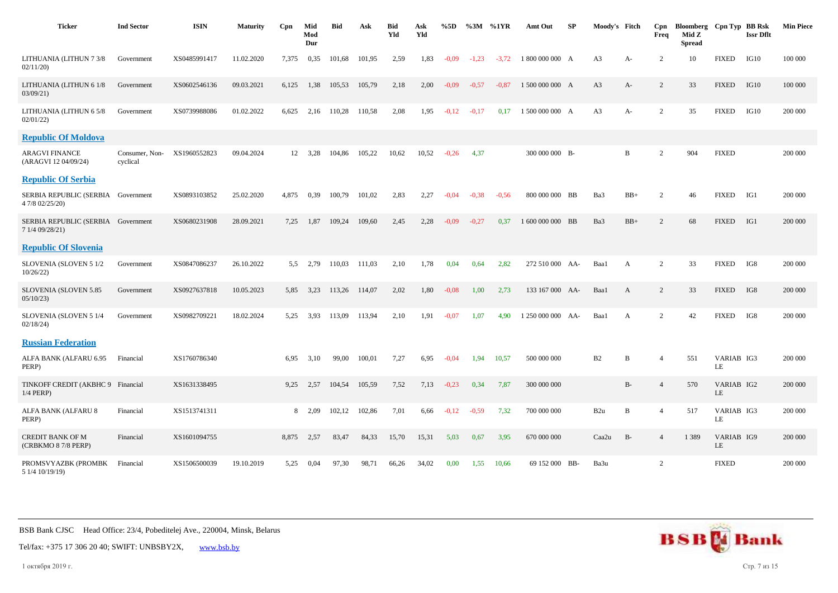| <b>Ticker</b>                                         | <b>Ind Sector</b>          | <b>ISIN</b>  | <b>Maturity</b> | Cpn   | Mid<br>Mod<br>Dur | <b>Bid</b> | Ask    | <b>Bid</b><br>Yld | Ask<br>Yld | %5D     | $\%3M$ %1YR |         | Amt Out           | SP  | Moody's Fitch   |       | Cpn<br>Freq    | Bloomberg Cpn Typ BB Rsk<br>Mid Z<br><b>Spread</b> |                  | <b>Issr Dflt</b> | <b>Min Piece</b> |
|-------------------------------------------------------|----------------------------|--------------|-----------------|-------|-------------------|------------|--------|-------------------|------------|---------|-------------|---------|-------------------|-----|-----------------|-------|----------------|----------------------------------------------------|------------------|------------------|------------------|
| LITHUANIA (LITHUN 7 3/8<br>02/11/20                   | Government                 | XS0485991417 | 11.02.2020      | 7,375 | 0,35              | 101,68     | 101,95 | 2,59              | 1,83       | $-0.09$ | $-1,23$     | $-3,72$ | 1 800 000 000 A   |     | A <sub>3</sub>  | A-    | $\overline{c}$ | 10                                                 | <b>FIXED</b>     | IG10             | 100 000          |
| LITHUANIA (LITHUN 6 1/8<br>03/09/21                   | Government                 | XS0602546136 | 09.03.2021      | 6,125 | 1,38              | 105,53     | 105,79 | 2,18              | 2,00       | $-0.09$ | $-0,57$     | $-0.87$ | 1 500 000 000 A   |     | A <sub>3</sub>  | A-    | $\overline{c}$ | 33                                                 | <b>FIXED</b>     | IG10             | 100 000          |
| LITHUANIA (LITHUN 6 5/8<br>02/01/22                   | Government                 | XS0739988086 | 01.02.2022      | 6,625 | 2,16              | 110,28     | 110,58 | 2,08              | 1,95       | $-0,12$ | $-0,17$     | 0,17    | 1 500 000 000 A   |     | A <sub>3</sub>  | A-    | 2              | 35                                                 | <b>FIXED</b>     | IG10             | 200 000          |
| <b>Republic Of Moldova</b>                            |                            |              |                 |       |                   |            |        |                   |            |         |             |         |                   |     |                 |       |                |                                                    |                  |                  |                  |
| <b>ARAGVI FINANCE</b><br>(ARAGVI 12 04/09/24)         | Consumer, Non-<br>cyclical | XS1960552823 | 09.04.2024      |       | 12 3,28           | 104,86     | 105,22 | 10,62             | 10,52      | $-0,26$ | 4,37        |         | 300 000 000 B-    |     |                 | B     | $\overline{2}$ | 904                                                | <b>FIXED</b>     |                  | 200 000          |
| <b>Republic Of Serbia</b>                             |                            |              |                 |       |                   |            |        |                   |            |         |             |         |                   |     |                 |       |                |                                                    |                  |                  |                  |
| SERBIA REPUBLIC (SERBIA Government<br>4 7/8 02/25/20) |                            | XS0893103852 | 25.02.2020      | 4,875 | 0.39              | 100.79     | 101,02 | 2,83              | 2,27       | $-0.04$ | $-0.38$     | $-0.56$ | 800 000 000 BB    |     | Ba3             | $BB+$ | 2              | 46                                                 | <b>FIXED</b>     | IG1              | 200 000          |
| SERBIA REPUBLIC (SERBIA Government<br>7 1/4 09/28/21) |                            | XS0680231908 | 28.09.2021      | 7,25  | 1,87              | 109,24     | 109,60 | 2,45              | 2,28       | $-0.09$ | $-0,27$     | 0,37    | 1 600 000 000 BB  |     | Ba3             | $BB+$ | $\overline{2}$ | 68                                                 | <b>FIXED</b>     | IG1              | 200 000          |
| <b>Republic Of Slovenia</b>                           |                            |              |                 |       |                   |            |        |                   |            |         |             |         |                   |     |                 |       |                |                                                    |                  |                  |                  |
| SLOVENIA (SLOVEN 5 1/2<br>10/26/22                    | Government                 | XS0847086237 | 26.10.2022      | 5.5   | 2,79              | 110,03     | 111,03 | 2,10              | 1,78       | 0,04    | 0,64        | 2,82    | 272 510 000       | AA- | Baa1            | A     | $\overline{2}$ | 33                                                 | <b>FIXED</b>     | IG8              | 200 000          |
| SLOVENIA (SLOVEN 5.85<br>05/10/23                     | Government                 | XS0927637818 | 10.05.2023      | 5,85  | 3,23              | 113,26     | 114,07 | 2,02              | 1,80       | $-0,08$ | 1,00        | 2,73    | 133 167 000 AA-   |     | Baa1            | A     | $\overline{2}$ | 33                                                 | <b>FIXED</b>     | IG8              | 200 000          |
| SLOVENIA (SLOVEN 5 1/4<br>02/18/24                    | Government                 | XS0982709221 | 18.02.2024      | 5,25  | 3,93              | 113,09     | 113,94 | 2,10              | 1,91       | $-0.07$ | 1,07        | 4,90    | 1 250 000 000 AA- |     | Baa1            | A     | 2              | 42                                                 | <b>FIXED</b>     | IG8              | 200 000          |
| <b>Russian Federation</b>                             |                            |              |                 |       |                   |            |        |                   |            |         |             |         |                   |     |                 |       |                |                                                    |                  |                  |                  |
| ALFA BANK (ALFARU 6.95<br>PERP)                       | Financial                  | XS1760786340 |                 | 6.95  | 3,10              | 99,00      | 100,01 | 7,27              | 6,95       | $-0.04$ | 1,94        | 10,57   | 500 000 000       |     | B2              | B     | $\overline{4}$ | 551                                                | VARIAB IG3<br>LE |                  | 200 000          |
| TINKOFF CREDIT (AKBHC 9<br>$1/4$ PERP)                | Financial                  | XS1631338495 |                 | 9,25  | 2,57              | 104,54     | 105,59 | 7,52              | 7,13       | $-0,23$ | 0,34        | 7,87    | 300 000 000       |     |                 | $B-$  | $\overline{4}$ | 570                                                | VARIAB IG2<br>LE |                  | 200 000          |
| ALFA BANK (ALFARU 8<br>PERP)                          | Financial                  | XS1513741311 |                 | 8     | 2.09              | 102,12     | 102,86 | 7,01              | 6,66       | $-0,12$ | $-0.59$     | 7,32    | 700 000 000       |     | B <sub>2u</sub> | B     | $\overline{4}$ | 517                                                | VARIAB IG3<br>LE |                  | 200 000          |
| <b>CREDIT BANK OF M</b><br>(CRBKMO 8 7/8 PERP)        | Financial                  | XS1601094755 |                 | 8,875 | 2,57              | 83,47      | 84,33  | 15,70             | 15,31      | 5,03    | 0,67        | 3,95    | 670 000 000       |     | Caa2u           | $B-$  | $\overline{4}$ | 1 3 8 9                                            | VARIAB IG9<br>LE |                  | 200 000          |
| PROMSVYAZBK (PROMBK<br>5 1/4 10/19/19)                | Financial                  | XS1506500039 | 19.10.2019      | 5.25  | 0,04              | 97.30      | 98,71  | 66,26             | 34.02      | 0,00    | 1.55        | 10,66   | 69 152 000 BB-    |     | Ba3u            |       | $\overline{2}$ |                                                    | <b>FIXED</b>     |                  | 200 000          |

![](_page_6_Picture_2.jpeg)

Tel/fax: +375 17 306 20 40; SWIFT: UNBSBY2X, [www.bsb.by](https://www.bsb.by/)

1 октября 2019 г. Стр. 7 из 15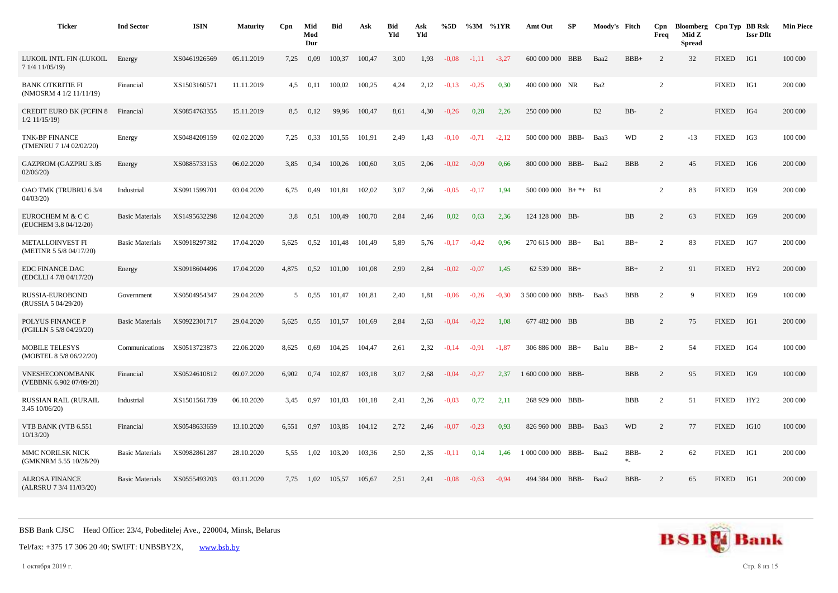| <b>Ticker</b>                                      | <b>Ind Sector</b>      | <b>ISIN</b>  | <b>Maturity</b> | Cpn   | Mid<br>Mod<br>Dur | <b>Bid</b> | Ask    | <b>Bid</b><br>Yld | Ask<br>Yld | %5D     | %3M     | %1YR    | Amt Out            | <b>SP</b> | Moody's Fitch  |                  | Cpn<br>Freq    | Bloomberg Cpn Typ BB Rsk<br>Mid Z<br><b>Spread</b> |              | <b>Issr Dflt</b> | <b>Min Piece</b> |
|----------------------------------------------------|------------------------|--------------|-----------------|-------|-------------------|------------|--------|-------------------|------------|---------|---------|---------|--------------------|-----------|----------------|------------------|----------------|----------------------------------------------------|--------------|------------------|------------------|
| LUKOIL INTL FIN (LUKOIL<br>7 1/4 11/05/19)         | Energy                 | XS0461926569 | 05.11.2019      | 7,25  | 0,09              | 100,37     | 100,47 | 3,00              | 1,93       | $-0.08$ | $-1,11$ | $-3,27$ | 600 000 000 BBB    |           | Baa2           | $BBB+$           | $\overline{2}$ | 32                                                 | <b>FIXED</b> | IG1              | 100 000          |
| <b>BANK OTKRITIE FI</b><br>(NMOSRM 4 1/2 11/11/19) | Financial              | XS1503160571 | 11.11.2019      | 4,5   | 0,11              | 100,02     | 100,25 | 4,24              | 2,12       | $-0,13$ | $-0.25$ | 0,30    | 400 000 000 NR     |           | Ba2            |                  | $\overline{c}$ |                                                    | <b>FIXED</b> | IG1              | 200 000          |
| <b>CREDIT EURO BK (FCFIN 8</b><br>$1/2$ 11/15/19)  | Financial              | XS0854763355 | 15.11.2019      | 8.5   | 0,12              | 99,96      | 100,47 | 8,61              | 4,30       | $-0,26$ | 0,28    | 2.26    | 250 000 000        |           | B <sub>2</sub> | BB-              | 2              |                                                    | <b>FIXED</b> | IG4              | 200 000          |
| <b>TNK-BP FINANCE</b><br>(TMENRU 7 1/4 02/02/20)   | Energy                 | XS0484209159 | 02.02.2020      | 7,25  | 0.33              | 101,55     | 101,91 | 2,49              | 1,43       | $-0,10$ | $-0,71$ | $-2,12$ | 500 000 000 BBB-   |           | Baa3           | <b>WD</b>        | $\overline{2}$ | $-13$                                              | <b>FIXED</b> | IG3              | 100 000          |
| <b>GAZPROM (GAZPRU 3.85</b><br>02/06/20            | Energy                 | XS0885733153 | 06.02.2020      | 3,85  | 0,34              | 100,26     | 100,60 | 3,05              | 2,06       | $-0.02$ | $-0.09$ | 0,66    | 800 000 000 BBB-   |           | Baa2           | <b>BBB</b>       | $\overline{c}$ | 45                                                 | <b>FIXED</b> | IG6              | 200 000          |
| OAO TMK (TRUBRU 63/4<br>04/03/20                   | Industrial             | XS0911599701 | 03.04.2020      | 6.75  | 0,49              | 101.81     | 102,02 | 3.07              | 2.66       | $-0.05$ | $-0.17$ | 1.94    | 500 000 000        | $B+*+$ B1 |                |                  | $\overline{c}$ | 83                                                 | <b>FIXED</b> | IG9              | 200 000          |
| EUROCHEM M & C C<br>(EUCHEM 3.8 04/12/20)          | <b>Basic Materials</b> | XS1495632298 | 12.04.2020      | 3.8   | 0.51              | 100,49     | 100,70 | 2,84              | 2,46       | 0,02    | 0.63    | 2,36    | 124 128 000 BB-    |           |                | BB               | $\overline{2}$ | 63                                                 | <b>FIXED</b> | IG9              | 200 000          |
| <b>METALLOINVEST FI</b><br>(METINR 5 5/8 04/17/20) | <b>Basic Materials</b> | XS0918297382 | 17.04.2020      | 5,625 | 0,52              | 101,48     | 101,49 | 5,89              | 5,76       | $-0,17$ | $-0,42$ | 0.96    | 270 615 000 BB+    |           | Ba1            | $BB+$            | $\overline{2}$ | 83                                                 | <b>FIXED</b> | IG7              | 200 000          |
| <b>EDC FINANCE DAC</b><br>(EDCLLI 4 7/8 04/17/20)  | Energy                 | XS0918604496 | 17.04.2020      | 4.875 | 0,52              | 101,00     | 101,08 | 2,99              | 2,84       | $-0.02$ | $-0.07$ | 1.45    | 62 539 000 BB+     |           |                | $BB+$            | 2              | 91                                                 | <b>FIXED</b> | HY <sub>2</sub>  | 200 000          |
| RUSSIA-EUROBOND<br>(RUSSIA 5 04/29/20)             | Government             | XS0504954347 | 29.04.2020      |       | $5\quad 0.55$     | 101,47     | 101,81 | 2,40              | 1,81       | $-0.06$ | $-0,26$ | $-0.30$ | 3 500 000 000 BBB- |           | Baa3           | <b>BBB</b>       | $\overline{2}$ | 9                                                  | <b>FIXED</b> | IG9              | 100 000          |
| POLYUS FINANCE P<br>(PGILLN 5 5/8 04/29/20)        | <b>Basic Materials</b> | XS0922301717 | 29.04.2020      | 5,625 | 0.55              | 101,57     | 101,69 | 2,84              | 2,63       | $-0.04$ | $-0,22$ | 1.08    | 677 482 000 BB     |           |                | BB               | 2              | 75                                                 | <b>FIXED</b> | IG1              | 200 000          |
| <b>MOBILE TELESYS</b><br>(MOBTEL 8 5/8 06/22/20)   | Communications         | XS0513723873 | 22.06.2020      | 8.625 | 0.69              | 104,25     | 104,47 | 2,61              | 2,32       | $-0,14$ | $-0.91$ | $-1,87$ | 306 886 000        | $BB+$     | Balu           | $BB+$            | $\overline{c}$ | 54                                                 | <b>FIXED</b> | IG4              | 100 000          |
| VNESHECONOMBANK<br>(VEBBNK 6.902 07/09/20)         | Financial              | XS0524610812 | 09.07.2020      | 6,902 | 0,74              | 102,87     | 103,18 | 3,07              | 2,68       | $-0,04$ | $-0,27$ | 2,37    | 1 600 000 000 BBB- |           |                | <b>BBB</b>       | 2              | 95                                                 | <b>FIXED</b> | IG9              | 100 000          |
| RUSSIAN RAIL (RURAIL<br>3.45 10/06/20)             | Industrial             | XS1501561739 | 06.10.2020      | 3,45  | 0,97              | 101,03     | 101,18 | 2,41              | 2,26       | $-0.03$ | 0,72    | 2,11    | 268 929 000 BBB-   |           |                | <b>BBB</b>       | $\overline{2}$ | 51                                                 | <b>FIXED</b> | HY <sub>2</sub>  | 200 000          |
| VTB BANK (VTB 6.551<br>10/13/20                    | Financial              | XS0548633659 | 13.10.2020      | 6,551 | 0,97              | 103,85     | 104,12 | 2,72              | 2,46       | $-0.07$ | $-0,23$ | 0.93    | 826 960 000 BBB-   |           | Baa3           | <b>WD</b>        | $\overline{c}$ | 77                                                 | <b>FIXED</b> | IG10             | 100 000          |
| MMC NORILSK NICK<br>(GMKNRM 5.55 10/28/20)         | <b>Basic Materials</b> | XS0982861287 | 28.10.2020      | 5,55  | 1,02              | 103,20     | 103,36 | 2,50              | 2,35       | $-0,11$ | 0,14    | 1.46    | 1 000 000 000 BBB- |           | Baa2           | BBB-<br>$\ast_-$ | 2              | 62                                                 | <b>FIXED</b> | IG1              | 200 000          |
| <b>ALROSA FINANCE</b><br>(ALRSRU 7 3/4 11/03/20)   | <b>Basic Materials</b> | XS0555493203 | 03.11.2020      | 7,75  | 1,02              | 105,57     | 105,67 | 2,51              | 2,41       | $-0.08$ | $-0,63$ | $-0.94$ | 494 384 000 BBB-   |           | Baa2           | BBB-             | 2              | 65                                                 | <b>FIXED</b> | IG1              | 200 000          |

![](_page_7_Picture_2.jpeg)

1 октября 2019 г. Стр. 8 из 15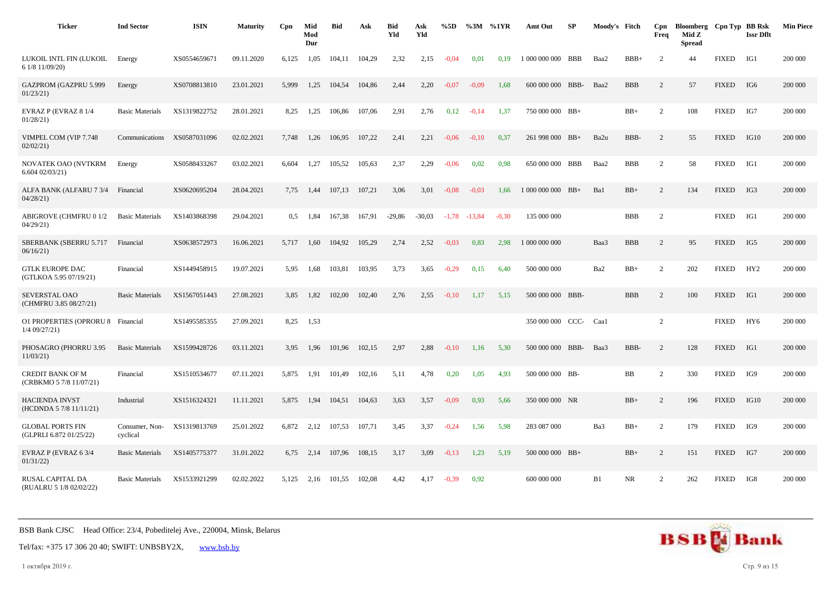| <b>Ticker</b>                                      | <b>Ind Sector</b>          | <b>ISIN</b>  | <b>Maturity</b> | Cpn           | Mid<br>Mod<br>Dur | <b>Bid</b> | Ask    | <b>Bid</b><br>Yld | Ask<br>Yld | %5D     | %3M      | %1YR    | Amt Out             | SP    | Moody's Fitch |            | Cpn<br>Freq    | Bloomberg Cpn Typ BB Rsk<br>Mid Z<br><b>Spread</b> |              | <b>Issr Dflt</b> | <b>Min Piece</b> |
|----------------------------------------------------|----------------------------|--------------|-----------------|---------------|-------------------|------------|--------|-------------------|------------|---------|----------|---------|---------------------|-------|---------------|------------|----------------|----------------------------------------------------|--------------|------------------|------------------|
| LUKOIL INTL FIN (LUKOIL<br>6 1/8 11/09/20)         | Energy                     | XS0554659671 | 09.11.2020      | 6,125         | 1,05              | 104,11     | 104,29 | 2,32              | 2,15       | $-0.04$ | 0,01     | 0.19    | 1 000 000 000       | BBB   | Baa2          | $BBB+$     | $\overline{c}$ | 44                                                 | <b>FIXED</b> | IG1              | 200 000          |
| GAZPROM (GAZPRU 5.999<br>01/23/21                  | Energy                     | XS0708813810 | 23.01.2021      | 5,999         | 1,25              | 104,54     | 104,86 | 2,44              | 2,20       | $-0.07$ | $-0.09$  | 1,68    | 600 000 000         | BBB-  | Baa2          | <b>BBB</b> | $\overline{c}$ | 57                                                 | <b>FIXED</b> | IG <sub>6</sub>  | 200 000          |
| EVRAZ P (EVRAZ 8 1/4<br>01/28/21                   | <b>Basic Materials</b>     | XS1319822752 | 28.01.2021      | 8.25          | 1,25              | 106,86     | 107.06 | 2,91              | 2,76       | 0,12    | $-0,14$  | 1,37    | 750 000 000 BB+     |       |               | $BB+$      | 2              | 108                                                | <b>FIXED</b> | IG7              | 200 000          |
| VIMPEL COM (VIP 7.748<br>02/02/21                  | Communications             | XS0587031096 | 02.02.2021      | 7,748         | 1,26              | 106,95     | 107,22 | 2,41              | 2,21       | $-0.06$ | $-0,10$  | 0,37    | 261 998 000 BB+     |       | Ba2u          | BBB-       | $\overline{c}$ | 55                                                 | <b>FIXED</b> | IG10             | 200 000          |
| NOVATEK OAO (NVTKRM<br>6.60402/03/21               | Energy                     | XS0588433267 | 03.02.2021      | 6,604         | 1,27              | 105,52     | 105,63 | 2,37              | 2,29       | $-0.06$ | 0,02     | 0.98    | 650 000 000 BBB     |       | Baa2          | <b>BBB</b> | $\overline{2}$ | 58                                                 | <b>FIXED</b> | IG1              | 200 000          |
| ALFA BANK (ALFARU 7 3/4<br>04/28/21                | Financial                  | XS0620695204 | 28.04.2021      | 7.75          | 1.44              | 107.13     | 107,21 | 3.06              | 3,01       | $-0.08$ | $-0.03$  | 1.66    | 1 000 000 000       | $BB+$ | Ba1           | $BB+$      | $\overline{2}$ | 134                                                | <b>FIXED</b> | IG3              | 200 000          |
| <b>ABIGROVE (CHMFRU 0 1/2</b><br>04/29/21          | <b>Basic Materials</b>     | XS1403868398 | 29.04.2021      | $0.5^{\circ}$ | 1,84              | 167,38     | 167,91 | $-29,86$          | $-30,03$   | $-1,78$ | $-13,84$ | $-0,30$ | 135 000 000         |       |               | <b>BBB</b> | $\overline{c}$ |                                                    | <b>FIXED</b> | IG1              | 200 000          |
| SBERBANK (SBERRU 5.717<br>06/16/21)                | Financial                  | XS0638572973 | 16.06.2021      | 5.717         | 1,60              | 104,92     | 105,29 | 2.74              | 2,52       | $-0.03$ | 0.83     | 2.98    | 1 000 000 000       |       | Baa3          | <b>BBB</b> | 2              | 95                                                 | <b>FIXED</b> | IG5              | 200 000          |
| <b>GTLK EUROPE DAC</b><br>(GTLKOA 5.95 07/19/21)   | Financial                  | XS1449458915 | 19.07.2021      | 5.95          | 1,68              | 103,81     | 103,95 | 3,73              | 3,65       | $-0,29$ | 0,15     | 6,40    | 500 000 000         |       | Ba2           | $BB+$      | $\overline{c}$ | 202                                                | <b>FIXED</b> | HY <sub>2</sub>  | 200 000          |
| SEVERSTAL OAO<br>(CHMFRU 3.85 08/27/21)            | <b>Basic Materials</b>     | XS1567051443 | 27.08.2021      | 3,85          | 1,82              | 102,00     | 102,40 | 2,76              | 2,55       | $-0,10$ | 1,17     | 5,15    | 500 000 000 BBB-    |       |               | <b>BBB</b> | $\overline{c}$ | 100                                                | <b>FIXED</b> | IG1              | 200 000          |
| <b>O1 PROPERTIES (OPRORU 8</b><br>$1/4$ 09/27/21)  | Financial                  | XS1495585355 | 27.09.2021      | 8,25          | 1,53              |            |        |                   |            |         |          |         | 350 000 000 CCC-    |       | Caa1          |            | 2              |                                                    | <b>FIXED</b> | HY <sub>6</sub>  | 200 000          |
| PHOSAGRO (PHORRU 3.95<br>11/03/21                  | <b>Basic Materials</b>     | XS1599428726 | 03.11.2021      | 3.95          | 1,96              | 101.96     | 102,15 | 2,97              | 2,88       | $-0.10$ | 1,16     | 5,30    | 500 000 000         | BBB-  | Baa3          | BBB-       | 2              | 128                                                | <b>FIXED</b> | IG1              | 200 000          |
| <b>CREDIT BANK OF M</b><br>(CRBKMO 5 7/8 11/07/21) | Financial                  | XS1510534677 | 07.11.2021      | 5,875         | 1,91              | 101,49     | 102,16 | 5,11              | 4,78       | 0,20    | 1,05     | 4,93    | 500 000 000 BB-     |       |               | BB         | $\overline{c}$ | 330                                                | <b>FIXED</b> | IG9              | 200 000          |
| <b>HACIENDA INVST</b><br>(HCDNDA 5 7/8 11/11/21)   | Industrial                 | XS1516324321 | 11.11.2021      | 5,875         | 1,94              | 104,51     | 104,63 | 3,63              | 3,57       | $-0.09$ | 0.93     | 5,66    | 350 000 000 NR      |       |               | $BB+$      | $\overline{c}$ | 196                                                | <b>FIXED</b> | IG10             | 200 000          |
| <b>GLOBAL PORTS FIN</b><br>(GLPRLI 6.872 01/25/22) | Consumer, Non-<br>cyclical | XS1319813769 | 25.01.2022      | 6,872         | 2,12              | 107,53     | 107,71 | 3,45              | 3,37       | $-0,24$ | 1,56     | 5,98    | 283 087 000         |       | Ba3           | $\rm BB+$  | $\sqrt{2}$     | 179                                                | <b>FIXED</b> | IG9              | 200 000          |
| EVRAZ P (EVRAZ 6 3/4<br>01/31/22                   | <b>Basic Materials</b>     | XS1405775377 | 31.01.2022      | 6.75          | 2,14              | 107,96     | 108,15 | 3,17              | 3,09       | $-0.13$ | 1,23     | 5.19    | $500\,000\,000$ BB+ |       |               | $BB+$      | $\overline{2}$ | 151                                                | <b>FIXED</b> | IG7              | 200 000          |
| RUSAL CAPITAL DA<br>(RUALRU 5 1/8 02/02/22)        | <b>Basic Materials</b>     | XS1533921299 | 02.02.2022      | 5,125         | 2,16              | 101,55     | 102,08 | 4,42              | 4,17       | $-0,39$ | 0,92     |         | 600 000 000         |       | B1            | NR         | $\overline{2}$ | 262                                                | <b>FIXED</b> | IG8              | 200 000          |

![](_page_8_Picture_2.jpeg)

Tel/fax: +375 17 306 20 40; SWIFT: UNBSBY2X, [www.bsb.by](https://www.bsb.by/)

1 октября 2019 г. Стр. 9 из 15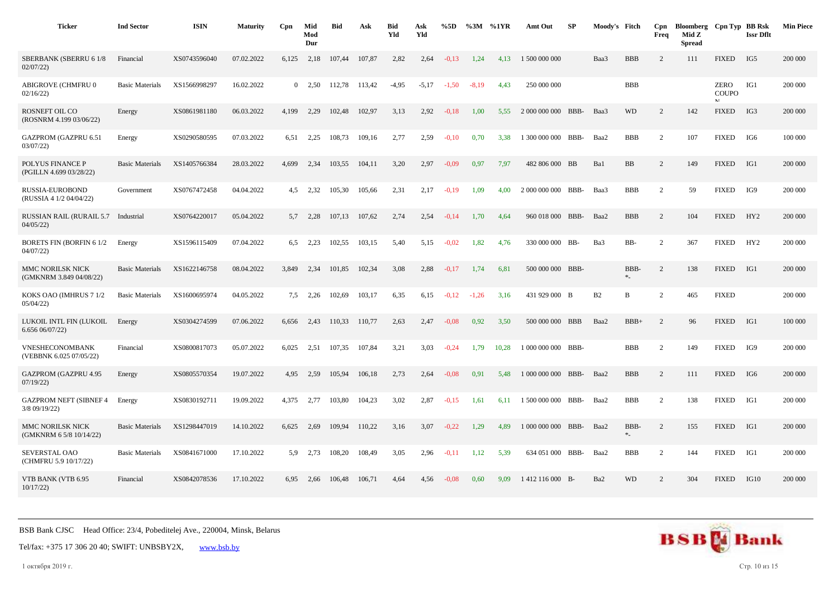| <b>Ticker</b>                                    | <b>Ind Sector</b>      | <b>ISIN</b>  | <b>Maturity</b> | Cpn            | Mid<br>Mod<br>Dur | <b>Bid</b> | Ask    | <b>Bid</b><br>Yld | Ask<br>Yld | %5D     |         | $\%3M$ %1YR | Amt Out            | SP   | Moody's Fitch   |                  | Cpn<br>Freq    | Bloomberg Cpn Typ BB Rsk<br>Mid Z<br><b>Spread</b> |                                   | <b>Issr Dflt</b> | <b>Min Piece</b> |
|--------------------------------------------------|------------------------|--------------|-----------------|----------------|-------------------|------------|--------|-------------------|------------|---------|---------|-------------|--------------------|------|-----------------|------------------|----------------|----------------------------------------------------|-----------------------------------|------------------|------------------|
| SBERBANK (SBERRU 61/8<br>02/07/22                | Financial              | XS0743596040 | 07.02.2022      | 6,125          | 2,18              | 107,44     | 107,87 | 2.82              | 2,64       | $-0.13$ | 1,24    | 4,13        | 1 500 000 000      |      | Baa3            | <b>BBB</b>       | 2              | 111                                                | <b>FIXED</b>                      | IG5              | 200 000          |
| ABIGROVE (CHMFRU 0<br>02/16/22                   | <b>Basic Materials</b> | XS1566998297 | 16.02.2022      | $\overline{0}$ | 2,50              | 112,78     | 113,42 | $-4,95$           | $-5,17$    | $-1,50$ | $-8,19$ | 4,43        | 250 000 000        |      |                 | <b>BBB</b>       |                |                                                    | ZERO<br><b>COUPO</b><br><b>NT</b> | IG1              | 200 000          |
| <b>ROSNEFT OIL CO</b><br>(ROSNRM 4.199 03/06/22) | Energy                 | XS0861981180 | 06.03.2022      | 4,199          | 2.29              | 102,48     | 102.97 | 3,13              | 2,92       | $-0.18$ | 1,00    | 5.55        | 2 000 000 000 BBB- |      | Baa3            | <b>WD</b>        | $\overline{c}$ | 142                                                | <b>FIXED</b>                      | IG3              | 200 000          |
| <b>GAZPROM</b> (GAZPRU 6.51<br>03/07/22          | Energy                 | XS0290580595 | 07.03.2022      | 6,51           | 2,25              | 108,73     | 109,16 | 2,77              | 2,59       | $-0.10$ | 0,70    | 3,38        | 1 300 000 000 BBB- |      | Baa2            | <b>BBB</b>       | 2              | 107                                                | <b>FIXED</b>                      | IG <sub>6</sub>  | 100 000          |
| POLYUS FINANCE P<br>(PGILLN 4.699 03/28/22)      | <b>Basic Materials</b> | XS1405766384 | 28.03.2022      | 4,699          | 2,34              | 103,55     | 104,11 | 3,20              | 2,97       | $-0.09$ | 0.97    | 7,97        | 482 806 000 BB     |      | Ba1             | BB               | 2              | 149                                                | <b>FIXED</b>                      | IG1              | 200 000          |
| RUSSIA-EUROBOND<br>(RUSSIA 4 1/2 04/04/22)       | Government             | XS0767472458 | 04.04.2022      | 4.5            | 2,32              | 105.30     | 105.66 | 2,31              | 2,17       | $-0.19$ | 1,09    | 4.00        | 2 000 000 000      | BBB- | Baa3            | <b>BBB</b>       | 2              | 59                                                 | <b>FIXED</b>                      | IG9              | 200 000          |
| <b>RUSSIAN RAIL (RURAIL 5.7</b><br>04/05/22      | Industrial             | XS0764220017 | 05.04.2022      | 5,7            | 2,28              | 107,13     | 107,62 | 2,74              | 2,54       | $-0,14$ | 1,70    | 4,64        | 960 018 000 BBB-   |      | Baa2            | <b>BBB</b>       | 2              | 104                                                | <b>FIXED</b>                      | HY2              | 200 000          |
| <b>BORETS FIN (BORFIN 6 1/2)</b><br>04/07/22     | Energy                 | XS1596115409 | 07.04.2022      | 6,5            | 2,23              | 102,55     | 103,15 | 5,40              | 5,15       | $-0,02$ | 1,82    | 4,76        | 330 000 000 BB-    |      | Ba3             | BB-              | 2              | 367                                                | <b>FIXED</b>                      | HY <sub>2</sub>  | 200 000          |
| MMC NORILSK NICK<br>(GMKNRM 3.849 04/08/22)      | <b>Basic Materials</b> | XS1622146758 | 08.04.2022      | 3.849          | 2,34              | 101,85     | 102,34 | 3,08              | 2,88       | $-0.17$ | 1,74    | 6,81        | 500 000 000 BBB-   |      |                 | BBB-<br>*_       | 2              | 138                                                | <b>FIXED</b>                      | IG1              | 200 000          |
| KOKS OAO (IMHRUS 7 1/2<br>05/04/22               | <b>Basic Materials</b> | XS1600695974 | 04.05.2022      | 7.5            | 2,26              | 102,69     | 103,17 | 6,35              | 6,15       | $-0,12$ | $-1,26$ | 3,16        | 431 929 000 B      |      | B2              | $\, {\bf B}$     | 2              | 465                                                | <b>FIXED</b>                      |                  | 200 000          |
| LUKOIL INTL FIN (LUKOIL<br>6.65606/07/22         | Energy                 | XS0304274599 | 07.06.2022      | 6,656          | 2,43              | 110,33     | 110.77 | 2,63              | 2,47       | $-0.08$ | 0.92    | 3.50        | 500 000 000 BBB    |      | Baa2            | $BBB+$           | 2              | 96                                                 | <b>FIXED</b>                      | IG1              | 100 000          |
| VNESHECONOMBANK<br>(VEBBNK 6.025 07/05/22)       | Financial              | XS0800817073 | 05.07.2022      | 6,025          | 2,51              | 107,35     | 107,84 | 3,21              | 3,03       | $-0,24$ | 1,79    | 10,28       | 1 000 000 000      | BBB- |                 | <b>BBB</b>       | $\overline{c}$ | 149                                                | <b>FIXED</b>                      | IG9              | 200 000          |
| <b>GAZPROM (GAZPRU 4.95</b><br>07/19/22          | Energy                 | XS0805570354 | 19.07.2022      | 4,95           | 2,59              | 105,94     | 106,18 | 2,73              | 2,64       | $-0.08$ | 0.91    | 5,48        | 1 000 000 000 BBB- |      | Baa2            | <b>BBB</b>       | 2              | 111                                                | <b>FIXED</b>                      | IG6              | 200 000          |
| <b>GAZPROM NEFT (SIBNEF 4</b><br>3/8 09/19/22)   | Energy                 | XS0830192711 | 19.09.2022      | 4,375          | 2,77              | 103,80     | 104,23 | 3,02              | 2,87       | $-0,15$ | 1,61    | 6,11        | 1 500 000 000 BBB- |      | Baa2            | <b>BBB</b>       | 2              | 138                                                | <b>FIXED</b>                      | IG1              | 200 000          |
| MMC NORILSK NICK<br>(GMKNRM 6 5/8 10/14/22)      | <b>Basic Materials</b> | XS1298447019 | 14.10.2022      | 6,625          | 2,69              | 109,94     | 110,22 | 3,16              | 3,07       | $-0,22$ | 1,29    | 4,89        | 1 000 000 000 BBB- |      | Baa2            | BBB-<br>$\ast_-$ | 2              | 155                                                | <b>FIXED</b>                      | IG1              | 200 000          |
| <b>SEVERSTAL OAO</b><br>(CHMFRU 5.9 10/17/22)    | <b>Basic Materials</b> | XS0841671000 | 17.10.2022      | 5.9            | 2,73              | 108,20     | 108,49 | 3.05              | 2,96       | $-0.11$ | 1,12    | 5,39        | 634 051 000 BBB-   |      | Baa2            | <b>BBB</b>       | 2              | 144                                                | <b>FIXED</b>                      | IG1              | 200 000          |
| VTB BANK (VTB 6.95<br>10/17/22                   | Financial              | XS0842078536 | 17.10.2022      | 6,95           | 2,66              | 106,48     | 106,71 | 4,64              | 4,56       | $-0.08$ | 0,60    | 9,09        | 1 412 116 000 B-   |      | Ba <sub>2</sub> | <b>WD</b>        | 2              | 304                                                | <b>FIXED</b>                      | IG10             | 200 000          |

![](_page_9_Picture_2.jpeg)

1 октября 2019 г. Стр. 10 из 15

![](_page_9_Picture_4.jpeg)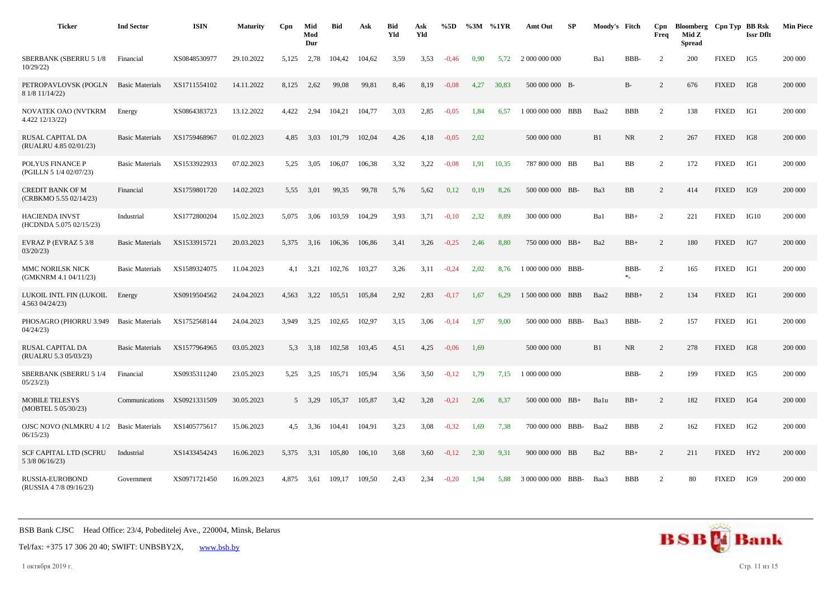| <b>Ticker</b>                                       | <b>Ind Sector</b>      | <b>ISIN</b>  | <b>Maturity</b> | Cpn   | Mid<br>Mod<br>Dur | <b>Bid</b> | Ask    | <b>Bid</b><br>Yld | Ask<br>Yld | %5D     | %3M  | %1YR  | Amt Out            | SP | Moody's Fitch |            | Cpn<br>Freq    | Bloomberg Cpn Typ BB Rsk<br>Mid Z<br><b>Spread</b> |              | <b>Issr Dflt</b> | <b>Min Piece</b> |
|-----------------------------------------------------|------------------------|--------------|-----------------|-------|-------------------|------------|--------|-------------------|------------|---------|------|-------|--------------------|----|---------------|------------|----------------|----------------------------------------------------|--------------|------------------|------------------|
| <b>SBERBANK (SBERRU 5 1/8</b><br>10/29/22           | Financial              | XS0848530977 | 29.10.2022      | 5,125 | 2,78              | 104,42     | 104,62 | 3,59              | 3,53       | $-0.46$ | 0.90 | 5,72  | 2 000 000 000      |    | Ba1           | BBB-       | $\overline{2}$ | 200                                                | <b>FIXED</b> | IG5              | 200 000          |
| PETROPAVLOVSK (POGLN<br>8 1/8 11/14/22)             | <b>Basic Materials</b> | XS1711554102 | 14.11.2022      | 8,125 | 2,62              | 99,08      | 99,81  | 8,46              | 8,19       | $-0.08$ | 4,27 | 30,83 | 500 000 000 B-     |    |               | $B-$       | 2              | 676                                                | <b>FIXED</b> | IG8              | 200 000          |
| NOVATEK OAO (NVTKRM<br>4.422 12/13/22)              | Energy                 | XS0864383723 | 13.12.2022      | 4.422 | 2.94              | 104.21     | 104,77 | 3.03              | 2,85       | $-0.05$ | 1,84 | 6.57  | 1 000 000 000 BBB  |    | Baa2          | <b>BBB</b> | 2              | 138                                                | <b>FIXED</b> | IG1              | 200 000          |
| RUSAL CAPITAL DA<br>(RUALRU 4.85 02/01/23)          | <b>Basic Materials</b> | XS1759468967 | 01.02.2023      | 4,85  | 3,03              | 101,79     | 102,04 | 4,26              | 4,18       | $-0.05$ | 2,02 |       | 500 000 000        |    | B1            | NR         | 2              | 267                                                | <b>FIXED</b> | IG8              | 200 000          |
| POLYUS FINANCE P<br>(PGILLN 5 1/4 02/07/23)         | <b>Basic Materials</b> | XS1533922933 | 07.02.2023      | 5,25  | 3,05              | 106,07     | 106,38 | 3,32              | 3,22       | $-0.08$ | 1,91 | 10,35 | 787 800 000 BB     |    | Ba1           | <b>BB</b>  | $\overline{2}$ | 172                                                | <b>FIXED</b> | IG1              | 200 000          |
| <b>CREDIT BANK OF M</b><br>(CRBKMO 5.55 02/14/23)   | Financial              | XS1759801720 | 14.02.2023      | 5.55  | 3,01              | 99,35      | 99.78  | 5.76              | 5.62       | 0.12    | 0,19 | 8.26  | 500 000 000 BB-    |    | Ba3           | <b>BB</b>  | 2              | 414                                                | <b>FIXED</b> | IG9              | 200 000          |
| <b>HACIENDA INVST</b><br>(HCDNDA 5.075 02/15/23)    | Industrial             | XS1772800204 | 15.02.2023      | 5,075 | 3,06              | 103,59     | 104,29 | 3,93              | 3,71       | $-0,10$ | 2,32 | 8,89  | 300 000 000        |    | Ba1           | $BB+$      | 2              | 221                                                | <b>FIXED</b> | IG10             | 200 000          |
| EVRAZ P (EVRAZ 5 3/8<br>03/20/23                    | <b>Basic Materials</b> | XS1533915721 | 20.03.2023      | 5.375 | 3,16              | 106,36     | 106,86 | 3,41              | 3,26       | $-0.25$ | 2.46 | 8.80  | 750 000 000 BB+    |    | Ba2           | $BB+$      | 2              | 180                                                | <b>FIXED</b> | IG7              | 200 000          |
| MMC NORILSK NICK<br>(GMKNRM 4.1 04/11/23)           | <b>Basic Materials</b> | XS1589324075 | 11.04.2023      | 4.1   | 3,21              | 102,76     | 103,27 | 3,26              | 3,11       | $-0,24$ | 2,02 | 8,76  | 1 000 000 000 BBB- |    |               | BBB-<br>∗. | 2              | 165                                                | <b>FIXED</b> | IG1              | 200 000          |
| LUKOIL INTL FIN (LUKOIL<br>4.563 04/24/23)          | Energy                 | XS0919504562 | 24.04.2023      | 4,563 | 3,22              | 105,51     | 105,84 | 2,92              | 2,83       | $-0,17$ | 1,67 | 6,29  | 1 500 000 000 BBB  |    | Baa2          | $BBB+$     | $\overline{2}$ | 134                                                | <b>FIXED</b> | IG1              | 200 000          |
| PHOSAGRO (PHORRU 3.949<br>04/24/23                  | <b>Basic Materials</b> | XS1752568144 | 24.04.2023      | 3.949 | 3,25              | 102,65     | 102,97 | 3,15              | 3,06       | $-0.14$ | 1,97 | 9.00  | 500 000 000 BBB-   |    | Baa3          | BBB-       | 2              | 157                                                | <b>FIXED</b> | IG1              | 200 000          |
| RUSAL CAPITAL DA<br>(RUALRU 5.3 05/03/23)           | <b>Basic Materials</b> | XS1577964965 | 03.05.2023      | 5.3   | 3,18              | 102,58     | 103,45 | 4,51              | 4,25       | $-0.06$ | 1,69 |       | 500 000 000        |    | B1            | <b>NR</b>  | 2              | 278                                                | <b>FIXED</b> | IG8              | 200 000          |
| SBERBANK (SBERRU 5 1/4<br>05/23/23                  | Financial              | XS0935311240 | 23.05.2023      | 5,25  | 3,25              | 105,71     | 105,94 | 3,56              | 3,50       | $-0,12$ | 1,79 | 7,15  | 1 000 000 000      |    |               | BBB-       | 2              | 199                                                | <b>FIXED</b> | IG5              | 200 000          |
| <b>MOBILE TELESYS</b><br>(MOBTEL 5 05/30/23)        | Communications         | XS0921331509 | 30.05.2023      |       | $5 \quad 3.29$    | 105,37     | 105,87 | 3,42              | 3,28       | $-0,21$ | 2,06 | 8,37  | 500 000 000 BB+    |    | Balu          | $BB+$      | $\overline{c}$ | 182                                                | <b>FIXED</b> | IG4              | 200 000          |
| OJSC NOVO (NLMKRU 4 1/2 Basic Materials<br>06/15/23 |                        | XS1405775617 | 15.06.2023      | 4.5   | 3,36              | 104,41     | 104,91 | 3,23              | 3,08       | $-0,32$ | 1,69 | 7,38  | 700 000 000 BBB-   |    | Baa2          | <b>BBB</b> | $\overline{2}$ | 162                                                | <b>FIXED</b> | IG <sub>2</sub>  | 200 000          |
| <b>SCF CAPITAL LTD (SCFRU</b><br>5 3/8 06/16/23)    | Industrial             | XS1433454243 | 16.06.2023      | 5.375 | 3,31              | 105,80     | 106,10 | 3,68              | 3,60       | $-0,12$ | 2,30 | 9.31  | 900 000 000 BB     |    | Ba2           | $BB+$      | 2              | 211                                                | <b>FIXED</b> | HY2              | 200 000          |
| RUSSIA-EUROBOND<br>(RUSSIA 4 7/8 09/16/23)          | Government             | XS0971721450 | 16.09.2023      | 4,875 | 3,61              | 109,17     | 109,50 | 2,43              | 2,34       | $-0,20$ | 1.94 | 5,88  | 3 000 000 000 BBB- |    | Baa3          | <b>BBB</b> | $\overline{2}$ | 80                                                 | <b>FIXED</b> | IG9              | 200 000          |

![](_page_10_Picture_2.jpeg)

1 октября 2019 г. Стр. 11 из 15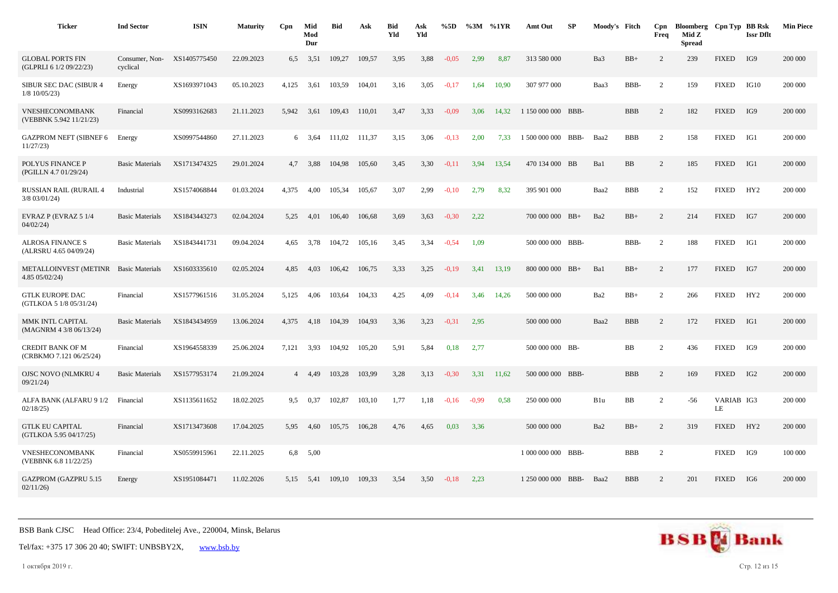| <b>Ticker</b>                                           | <b>Ind Sector</b>          | <b>ISIN</b>  | <b>Maturity</b> | Cpn   | Mid<br>Mod<br>Dur | <b>Bid</b> | Ask    | <b>Bid</b><br>Yld | Ask<br>Yld | %5D     | %3M     | %1YR  | Amt Out            | SP | Moody's Fitch |             | Cpn<br>Freq    | Bloomberg Cpn Typ BB Rsk<br>Mid Z<br><b>Spread</b> |                  | <b>Issr Dflt</b> | <b>Min Piece</b> |
|---------------------------------------------------------|----------------------------|--------------|-----------------|-------|-------------------|------------|--------|-------------------|------------|---------|---------|-------|--------------------|----|---------------|-------------|----------------|----------------------------------------------------|------------------|------------------|------------------|
| <b>GLOBAL PORTS FIN</b><br>(GLPRLI 6 1/2 09/22/23)      | Consumer, Non-<br>cyclical | XS1405775450 | 22.09.2023      | 6.5   | 3,51              | 109.27     | 109,57 | 3,95              | 3,88       | $-0.05$ | 2,99    | 8,87  | 313 580 000        |    | Ba3           | $BB+$       | $\overline{c}$ | 239                                                | <b>FIXED</b>     | IG9              | 200 000          |
| SIBUR SEC DAC (SIBUR 4<br>$1/8$ 10/05/23)               | Energy                     | XS1693971043 | 05.10.2023      | 4,125 | 3,61              | 103,59     | 104,01 | 3,16              | 3,05       | $-0,17$ | 1,64    | 10,90 | 307 977 000        |    | Baa3          | BBB-        | 2              | 159                                                | <b>FIXED</b>     | IG10             | 200 000          |
| VNESHECONOMBANK<br>(VEBBNK 5.942 11/21/23)              | Financial                  | XS0993162683 | 21.11.2023      | 5,942 | 3,61              | 109,43     | 110,01 | 3,47              | 3,33       | $-0,09$ | 3,06    | 14,32 | 1 150 000 000 BBB- |    |               | <b>BBB</b>  | $\overline{c}$ | 182                                                | <b>FIXED</b>     | IG9              | 200 000          |
| <b>GAZPROM NEFT (SIBNEF 6</b><br>11/27/23               | Energy                     | XS0997544860 | 27.11.2023      |       | 6 3.64            | 111,02     | 111,37 | 3,15              | 3,06       | $-0,13$ | 2,00    | 7,33  | 1 500 000 000 BBB- |    | Baa2          | <b>BBB</b>  | 2              | 158                                                | <b>FIXED</b>     | IG1              | 200 000          |
| POLYUS FINANCE P<br>(PGILLN 4.7 01/29/24)               | <b>Basic Materials</b>     | XS1713474325 | 29.01.2024      | 4,7   | 3,88              | 104,98     | 105,60 | 3,45              | 3,30       | $-0.11$ | 3,94    | 13,54 | 470 134 000 BB     |    | Ba1           | <b>BB</b>   | $\overline{c}$ | 185                                                | <b>FIXED</b>     | IG1              | 200 000          |
| <b>RUSSIAN RAIL (RURAIL 4</b><br>$3/8$ 03/01/24)        | Industrial                 | XS1574068844 | 01.03.2024      | 4,375 | 4,00              | 105,34     | 105,67 | 3,07              | 2,99       | $-0,10$ | 2,79    | 8,32  | 395 901 000        |    | Baa2          | <b>BBB</b>  | $\overline{c}$ | 152                                                | <b>FIXED</b>     | HY <sub>2</sub>  | 200 000          |
| EVRAZ P (EVRAZ 5 1/4<br>04/02/24                        | <b>Basic Materials</b>     | XS1843443273 | 02.04.2024      | 5,25  | 4,01              | 106,40     | 106,68 | 3,69              | 3,63       | $-0,30$ | 2.22    |       | 700 000 000 BB+    |    | Ba2           | $BB+$       | $\overline{2}$ | 214                                                | <b>FIXED</b>     | IG7              | 200 000          |
| <b>ALROSA FINANCE S</b><br>(ALRSRU 4.65 04/09/24)       | <b>Basic Materials</b>     | XS1843441731 | 09.04.2024      | 4,65  | 3,78              | 104,72     | 105,16 | 3,45              | 3,34       | $-0,54$ | 1,09    |       | 500 000 000 BBB-   |    |               | BBB-        | $\overline{c}$ | 188                                                | <b>FIXED</b>     | IG1              | 200 000          |
| METALLOINVEST (METINR Basic Materials<br>4.85 05/02/24) |                            | XS1603335610 | 02.05.2024      | 4,85  | 4,03              | 106,42     | 106,75 | 3,33              | 3,25       | $-0,19$ | 3,41    | 13,19 | 800 000 000 BB+    |    | Ba1           | $BB+$       | $\overline{c}$ | 177                                                | <b>FIXED</b>     | IG7              | 200 000          |
| <b>GTLK EUROPE DAC</b><br>(GTLKOA 5 1/8 05/31/24)       | Financial                  | XS1577961516 | 31.05.2024      | 5,125 | 4,06              | 103,64     | 104,33 | 4,25              | 4,09       | $-0.14$ | 3,46    | 14,26 | 500 000 000        |    | Ba2           | $BB+$       | $\overline{c}$ | 266                                                | <b>FIXED</b>     | HY2              | 200 000          |
| MMK INTL CAPITAL<br>(MAGNRM 4 3/8 06/13/24)             | <b>Basic Materials</b>     | XS1843434959 | 13.06.2024      | 4,375 | 4,18              | 104,39     | 104,93 | 3,36              | 3,23       | $-0.31$ | 2,95    |       | 500 000 000        |    | Baa2          | <b>BBB</b>  | $\overline{c}$ | 172                                                | <b>FIXED</b>     | IG1              | 200 000          |
| <b>CREDIT BANK OF M</b><br>(CRBKMO 7.121 06/25/24)      | Financial                  | XS1964558339 | 25.06.2024      | 7,121 | 3,93              | 104,92     | 105,20 | 5,91              | 5,84       | 0,18    | 2,77    |       | 500 000 000 BB-    |    |               | $_{\rm BB}$ | $\overline{c}$ | 436                                                | <b>FIXED</b>     | IG9              | 200 000          |
| <b>OJSC NOVO (NLMKRU 4</b><br>09/21/24                  | <b>Basic Materials</b>     | XS1577953174 | 21.09.2024      | 4     | 4,49              | 103,28     | 103,99 | 3,28              | 3,13       | $-0,30$ | 3,31    | 11,62 | 500 000 000 BBB-   |    |               | <b>BBB</b>  | $\overline{c}$ | 169                                                | <b>FIXED</b>     | IG <sub>2</sub>  | 200 000          |
| ALFA BANK (ALFARU 9 1/2<br>02/18/25                     | Financial                  | XS1135611652 | 18.02.2025      | 9,5   | 0,37              | 102,87     | 103,10 | 1,77              | 1,18       | $-0,16$ | $-0.99$ | 0,58  | 250 000 000        |    | B1u           | BB          | $\overline{c}$ | $-56$                                              | VARIAB IG3<br>LE |                  | 200 000          |
| <b>GTLK EU CAPITAL</b><br>(GTLKOA 5.95 04/17/25)        | Financial                  | XS1713473608 | 17.04.2025      | 5,95  | 4,60              | 105,75     | 106,28 | 4,76              | 4,65       | 0,03    | 3,36    |       | 500 000 000        |    | Ba2           | $BB+$       | $\overline{c}$ | 319                                                | <b>FIXED</b>     | HY <sub>2</sub>  | 200 000          |
| VNESHECONOMBANK<br>(VEBBNK 6.8 11/22/25)                | Financial                  | XS0559915961 | 22.11.2025      | 6,8   | 5,00              |            |        |                   |            |         |         |       | 1 000 000 000 BBB- |    |               | <b>BBB</b>  | 2              |                                                    | <b>FIXED</b>     | IG9              | 100 000          |
| <b>GAZPROM (GAZPRU 5.15</b><br>02/11/26                 | Energy                     | XS1951084471 | 11.02.2026      | 5,15  | 5,41              | 109,10     | 109,33 | 3,54              | 3,50       | $-0.18$ | 2.23    |       | 1 250 000 000 BBB- |    | Baa2          | <b>BBB</b>  | 2              | 201                                                | <b>FIXED</b>     | IG6              | 200 000          |

![](_page_11_Picture_2.jpeg)

1 октября 2019 г. Стр. 12 из 15

![](_page_11_Picture_4.jpeg)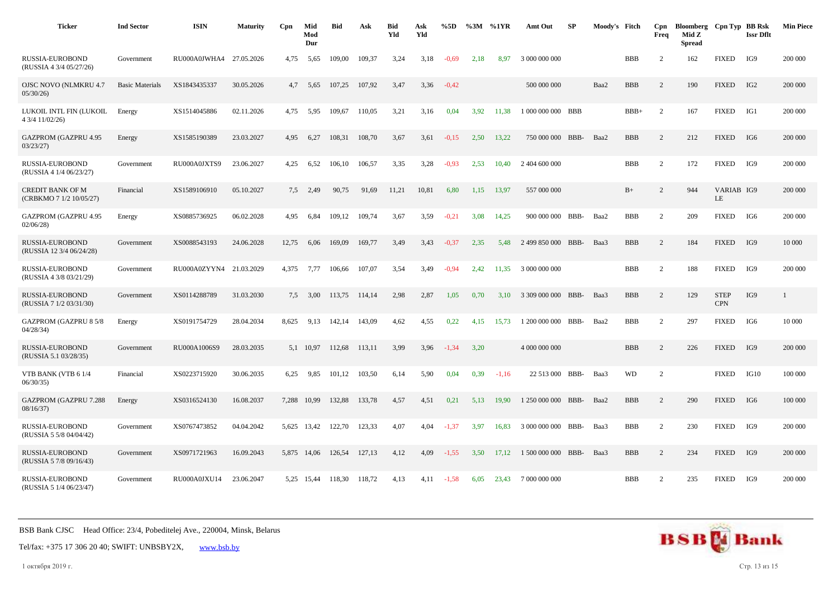| <b>Ticker</b>                                      | <b>Ind Sector</b>      | <b>ISIN</b>             | <b>Maturity</b> | Cpn   | Mid<br>Mod<br>Dur | <b>Bid</b> | Ask    | <b>Bid</b><br>Yld | Ask<br>Yld | %5D     | %3M  | %1YR    | Amt Out            | SP   | Moody's Fitch |            | Cpn<br>Freq    | Bloomberg Cpn Typ BB Rsk<br>Mid Z<br><b>Spread</b> |                           | <b>Issr Dflt</b> | <b>Min Piece</b> |
|----------------------------------------------------|------------------------|-------------------------|-----------------|-------|-------------------|------------|--------|-------------------|------------|---------|------|---------|--------------------|------|---------------|------------|----------------|----------------------------------------------------|---------------------------|------------------|------------------|
| RUSSIA-EUROBOND<br>(RUSSIA 4 3/4 05/27/26)         | Government             | RU000A0JWHA4            | 27.05.2026      | 4,75  | 5,65              | 109,00     | 109,37 | 3,24              | 3,18       | $-0,69$ | 2,18 | 8,97    | 3 000 000 000      |      |               | <b>BBB</b> | $\overline{c}$ | 162                                                | <b>FIXED</b>              | IG9              | 200 000          |
| OJSC NOVO (NLMKRU 4.7<br>05/30/26                  | <b>Basic Materials</b> | XS1843435337            | 30.05.2026      | 4,7   | 5,65              | 107,25     | 107,92 | 3,47              | 3,36       | $-0,42$ |      |         | 500 000 000        |      | Baa2          | <b>BBB</b> | 2              | 190                                                | <b>FIXED</b>              | IG2              | 200 000          |
| LUKOIL INTL FIN (LUKOIL<br>4 3/4 11/02/26)         | Energy                 | XS1514045886            | 02.11.2026      | 4,75  | 5,95              | 109,67     | 110,05 | 3,21              | 3,16       | 0,04    | 3,92 | 11.38   | 1 000 000 000 BBB  |      |               | $BBB+$     | 2              | 167                                                | <b>FIXED</b>              | IG1              | 200 000          |
| <b>GAZPROM (GAZPRU 4.95</b><br>03/23/27            | Energy                 | XS1585190389            | 23.03.2027      | 4,95  | 6,27              | 108,31     | 108,70 | 3,67              | 3,61       | $-0,15$ | 2,50 | 13,22   | 750 000 000 BBB-   |      | Baa2          | <b>BBB</b> | 2              | 212                                                | <b>FIXED</b>              | IG6              | 200 000          |
| RUSSIA-EUROBOND<br>(RUSSIA 4 1/4 06/23/27)         | Government             | RU000A0JXTS9            | 23.06.2027      | 4,25  | 6,52              | 106,10     | 106,57 | 3,35              | 3,28       | $-0.93$ | 2,53 | 10.40   | 2 404 600 000      |      |               | <b>BBB</b> | 2              | 172                                                | <b>FIXED</b>              | IG9              | 200 000          |
| <b>CREDIT BANK OF M</b><br>(CRBKMO 7 1/2 10/05/27) | Financial              | XS1589106910            | 05.10.2027      | 7,5   | 2,49              | 90,75      | 91,69  | 11,21             | 10,81      | 6,80    | 1,15 | 13,97   | 557 000 000        |      |               | $B+$       | 2              | 944                                                | VARIAB IG9<br>LE          |                  | 200 000          |
| GAZPROM (GAZPRU 4.95<br>02/06/28                   | Energy                 | XS0885736925            | 06.02.2028      | 4,95  | 6,84              | 109,12     | 109,74 | 3,67              | 3,59       | $-0,21$ | 3,08 | 14,25   | 900 000 000 BBB-   |      | Baa2          | <b>BBB</b> | $\overline{2}$ | 209                                                | <b>FIXED</b>              | IG6              | 200 000          |
| RUSSIA-EUROBOND<br>(RUSSIA 12 3/4 06/24/28)        | Government             | XS0088543193            | 24.06.2028      | 12,75 | 6,06              | 169,09     | 169,77 | 3,49              | 3,43       | $-0.37$ | 2,35 | 5,48    | 2 499 850 000 BBB- |      | Baa3          | <b>BBB</b> | 2              | 184                                                | <b>FIXED</b>              | IG9              | 10 000           |
| RUSSIA-EUROBOND<br>(RUSSIA 4 3/8 03/21/29)         | Government             | RU000A0ZYYN4 21.03.2029 |                 | 4,375 | 7,77              | 106,66     | 107,07 | 3,54              | 3,49       | $-0.94$ | 2,42 | 11,35   | 3 000 000 000      |      |               | <b>BBB</b> | 2              | 188                                                | <b>FIXED</b>              | IG9              | 200 000          |
| <b>RUSSIA-EUROBOND</b><br>(RUSSIA 7 1/2 03/31/30)  | Government             | XS0114288789            | 31.03.2030      | 7.5   | 3,00              | 113,75     | 114,14 | 2,98              | 2,87       | 1,05    | 0,70 | 3,10    | 3 309 000 000 BBB- |      | Baa3          | <b>BBB</b> | $\overline{2}$ | 129                                                | <b>STEP</b><br><b>CPN</b> | IG9              | $\mathbf{1}$     |
| <b>GAZPROM (GAZPRU 8 5/8</b><br>04/28/34           | Energy                 | XS0191754729            | 28.04.2034      | 8,625 | 9,13              | 142,14     | 143,09 | 4,62              | 4,55       | 0,22    | 4.15 | 15,73   | 1 200 000 000      | BBB- | Baa2          | <b>BBB</b> | 2              | 297                                                | <b>FIXED</b>              | IG6              | 10 000           |
| RUSSIA-EUROBOND<br>(RUSSIA 5.1 03/28/35)           | Government             | RU000A1006S9            | 28.03.2035      |       | 5,1 10,97         | 112,68     | 113,11 | 3,99              | 3,96       | $-1,34$ | 3,20 |         | 4 000 000 000      |      |               | <b>BBB</b> | 2              | 226                                                | <b>FIXED</b>              | IG9              | 200 000          |
| VTB BANK (VTB 61/4<br>06/30/35                     | Financial              | XS0223715920            | 30.06.2035      | 6,25  | 9,85              | 101,12     | 103,50 | 6,14              | 5,90       | 0,04    | 0,39 | $-1,16$ | 22 513 000         | BBB- | Baa3          | <b>WD</b>  | $\overline{2}$ |                                                    | <b>FIXED</b>              | IG10             | 100 000          |
| GAZPROM (GAZPRU 7.288<br>08/16/37                  | Energy                 | XS0316524130            | 16.08.2037      | 7,288 | 10,99             | 132,88     | 133,78 | 4,57              | 4,51       | 0,21    | 5,13 | 19,90   | 1 250 000 000      | BBB- | Baa2          | <b>BBB</b> | 2              | 290                                                | <b>FIXED</b>              | IG6              | 100 000          |
| RUSSIA-EUROBOND<br>(RUSSIA 5 5/8 04/04/42)         | Government             | XS0767473852            | 04.04.2042      |       | 5,625 13,42       | 122,70     | 123,33 | 4,07              | 4,04       | $-1,37$ | 3,97 | 16,83   | 3 000 000 000 BBB- |      | Baa3          | <b>BBB</b> | 2              | 230                                                | <b>FIXED</b>              | IG9              | 200 000          |
| RUSSIA-EUROBOND<br>(RUSSIA 5 7/8 09/16/43)         | Government             | XS0971721963            | 16.09.2043      |       | 5,875 14,06       | 126,54     | 127,13 | 4,12              | 4,09       | $-1,55$ | 3,50 | 17,12   | 1 500 000 000      | BBB- | Baa3          | <b>BBB</b> | 2              | 234                                                | <b>FIXED</b>              | IG9              | 200 000          |
| RUSSIA-EUROBOND<br>(RUSSIA 5 1/4 06/23/47)         | Government             | RU000A0JXU14            | 23.06.2047      |       | 5,25 15,44        | 118,30     | 118.72 | 4.13              | 4.11       | $-1,58$ | 6,05 | 23.43   | 7 000 000 000      |      |               | <b>BBB</b> | 2              | 235                                                | <b>FIXED</b>              | IG9              | 200 000          |

![](_page_12_Picture_2.jpeg)

1 октября 2019 г. Стр. 13 из 15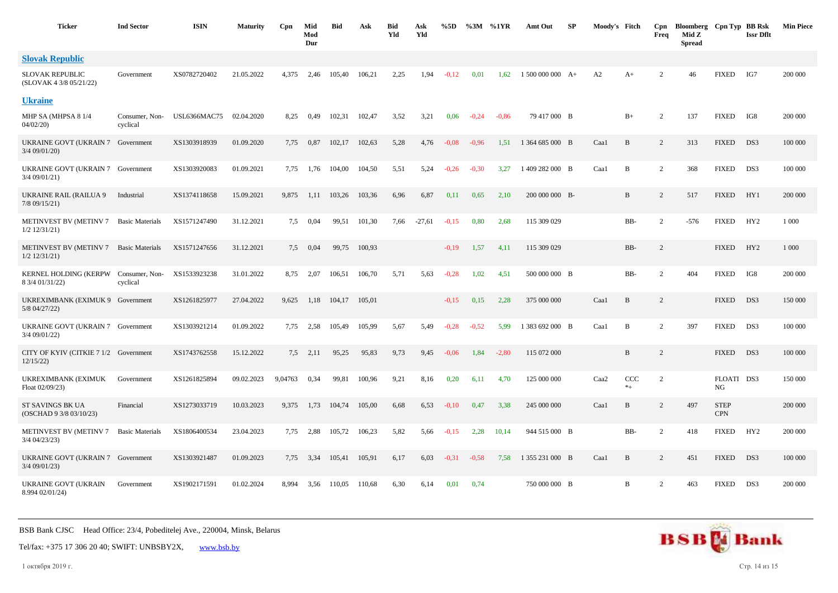| <b>Ticker</b>                                        | <b>Ind Sector</b>          | <b>ISIN</b>         | <b>Maturity</b> | Cpn     | Mid<br>Mod<br>Dur | <b>Bid</b> | Ask    | Bid<br>Yld | Ask<br>Yld | %5D     | %3M     | %1YR    | Amt Out            | SP | Moody's Fitch |                            | Cpn<br>Freq    | Bloomberg Cpn Typ BB Rsk<br>Mid Z<br><b>Spread</b> |                           | <b>Issr Dflt</b> | <b>Min Piece</b> |
|------------------------------------------------------|----------------------------|---------------------|-----------------|---------|-------------------|------------|--------|------------|------------|---------|---------|---------|--------------------|----|---------------|----------------------------|----------------|----------------------------------------------------|---------------------------|------------------|------------------|
| <b>Slovak Republic</b>                               |                            |                     |                 |         |                   |            |        |            |            |         |         |         |                    |    |               |                            |                |                                                    |                           |                  |                  |
| <b>SLOVAK REPUBLIC</b><br>(SLOVAK 4 3/8 05/21/22)    | Government                 | XS0782720402        | 21.05.2022      | 4,375   | 2,46              | 105,40     | 106,21 | 2,25       | 1,94       | $-0,12$ | 0,01    | 1,62    | $1,500,000,000$ A+ |    | A2            | $A+$                       | $\overline{c}$ | 46                                                 | <b>FIXED</b>              | IG7              | 200 000          |
| <b>Ukraine</b>                                       |                            |                     |                 |         |                   |            |        |            |            |         |         |         |                    |    |               |                            |                |                                                    |                           |                  |                  |
| MHP SA (MHPSA 8 1/4<br>04/02/20                      | Consumer, Non-<br>cyclical | <b>USL6366MAC75</b> | 02.04.2020      | 8,25    | 0,49              | 102,31     | 102,47 | 3,52       | 3,21       | 0,06    | $-0,24$ | $-0.86$ | 79 417 000 B       |    |               | $B+$                       | $\overline{c}$ | 137                                                | <b>FIXED</b>              | IG8              | 200 000          |
| UKRAINE GOVT (UKRAIN 7 Government<br>3/4 09/01/20)   |                            | XS1303918939        | 01.09.2020      | 7,75    | 0,87              | 102,17     | 102,63 | 5,28       | 4,76       | $-0.08$ | $-0.96$ | 1,51    | 1 364 685 000 B    |    | Caa1          | B                          | $\overline{c}$ | 313                                                | <b>FIXED</b>              | DS3              | 100 000          |
| UKRAINE GOVT (UKRAIN 7<br>3/4 09/01/21)              | Government                 | XS1303920083        | 01.09.2021      | 7,75    | 1,76              | 104,00     | 104,50 | 5,51       | 5,24       | $-0.26$ | $-0.30$ | 3,27    | 1409 282 000 B     |    | Caal          | $\, {\bf B}$               | $\overline{c}$ | 368                                                | <b>FIXED</b>              | DS3              | 100 000          |
| <b>UKRAINE RAIL (RAILUA 9</b><br>7/8 09/15/21)       | Industrial                 | XS1374118658        | 15.09.2021      | 9,875   | 1,11              | 103,26     | 103,36 | 6,96       | 6,87       | 0,11    | 0,65    | 2,10    | 200 000 000 B-     |    |               | B                          | $\overline{c}$ | 517                                                | <b>FIXED</b>              | HY1              | 200 000          |
| METINVEST BV (METINV 7<br>$1/2$ $12/31/21$ )         | <b>Basic Materials</b>     | XS1571247490        | 31.12.2021      | 7.5     | 0,04              | 99,51      | 101,30 | 7,66       | $-27,61$   | $-0.15$ | 0,80    | 2,68    | 115 309 029        |    |               | BB-                        | $\overline{c}$ | $-576$                                             | <b>FIXED</b>              | HY <sub>2</sub>  | 1 000            |
| METINVEST BV (METINV 7<br>$1/2$ $12/31/21$           | <b>Basic Materials</b>     | XS1571247656        | 31.12.2021      | 7.5     | 0,04              | 99,75      | 100,93 |            |            | $-0,19$ | 1,57    | 4,11    | 115 309 029        |    |               | BB-                        | $\sqrt{2}$     |                                                    | <b>FIXED</b>              | HY <sub>2</sub>  | 1 000            |
| KERNEL HOLDING (KERPW<br>8 3/4 01/31/22)             | Consumer, Non-<br>cyclical | XS1533923238        | 31.01.2022      | 8,75    | 2,07              | 106.51     | 106,70 | 5,71       | 5,63       | $-0.28$ | 1,02    | 4,51    | 500 000 000 B      |    |               | BB-                        | $\overline{c}$ | 404                                                | <b>FIXED</b>              | IG8              | 200 000          |
| UKREXIMBANK (EXIMUK 9 Government<br>5/8 04/27/22)    |                            | XS1261825977        | 27.04.2022      | 9,625   | 1,18              | 104.17     | 105,01 |            |            | $-0.15$ | 0,15    | 2,28    | 375 000 000        |    | Caal          | $\, {\bf B}$               | $\overline{c}$ |                                                    | <b>FIXED</b>              | DS3              | 150 000          |
| UKRAINE GOVT (UKRAIN 7 Government<br>3/4 09/01/22)   |                            | XS1303921214        | 01.09.2022      | 7,75    | 2,58              | 105,49     | 105,99 | 5,67       | 5,49       | $-0,28$ | $-0,52$ | 5,99    | 1 383 692 000 B    |    | Caal          | B                          | $\overline{c}$ | 397                                                | <b>FIXED</b>              | DS3              | 100 000          |
| CITY OF KYIV (CITKIE 7 1/2 Government<br>12/15/22    |                            | XS1743762558        | 15.12.2022      | 7,5     | 2,11              | 95,25      | 95,83  | 9,73       | 9,45       | $-0.06$ | 1,84    | $-2,80$ | 115 072 000        |    |               | $\, {\bf B}$               | $\overline{c}$ |                                                    | <b>FIXED</b>              | DS3              | 100 000          |
| UKREXIMBANK (EXIMUK<br>Float 02/09/23)               | Government                 | XS1261825894        | 09.02.2023      | 9,04763 | 0,34              | 99,81      | 100,96 | 9,21       | 8,16       | 0,20    | 6,11    | 4,70    | 125 000 000        |    | Caa2          | $_{\text{CCC}}$<br>$*_{+}$ | $\overline{c}$ |                                                    | FLOATI DS3<br>NG          |                  | 150 000          |
| ST SAVINGS BK UA<br>(OSCHAD 9 3/8 03/10/23)          | Financial                  | XS1273033719        | 10.03.2023      | 9,375   | 1,73              | 104,74     | 105,00 | 6,68       | 6,53       | $-0,10$ | 0,47    | 3,38    | 245 000 000        |    | Caal          | $\, {\bf B}$               | $\overline{c}$ | 497                                                | <b>STEP</b><br><b>CPN</b> |                  | 200 000          |
| METINVEST BV (METINV 7<br>$3/4$ $04/23/23$           | <b>Basic Materials</b>     | XS1806400534        | 23.04.2023      | 7,75    | 2,88              | 105,72     | 106,23 | 5,82       | 5,66       | $-0,15$ | 2,28    | 10,14   | 944 515 000 B      |    |               | BB-                        | $\overline{2}$ | 418                                                | <b>FIXED</b>              | HY <sub>2</sub>  | 200 000          |
| UKRAINE GOVT (UKRAIN 7 Government<br>$3/4$ 09/01/23) |                            | XS1303921487        | 01.09.2023      | 7,75    | 3,34              | 105,41     | 105,91 | 6,17       | 6,03       | $-0.31$ | $-0,58$ | 7,58    | 1 355 231 000 B    |    | Caa1          | B                          | $\overline{c}$ | 451                                                | <b>FIXED</b>              | DS3              | 100 000          |
| UKRAINE GOVT (UKRAIN<br>8.994 02/01/24)              | Government                 | XS1902171591        | 01.02.2024      | 8,994   | 3,56              | 110,05     | 110,68 | 6,30       | 6,14       | 0,01    | 0,74    |         | 750 000 000 B      |    |               | B                          | 2              | 463                                                | <b>FIXED</b>              | DS3              | 200 000          |

Tel/fax: +375 17 306 20 40; SWIFT: UNBSBY2X, [www.bsb.by](https://www.bsb.by/)

1 октября 2019 г. Стр. 14 из 15

![](_page_13_Picture_4.jpeg)